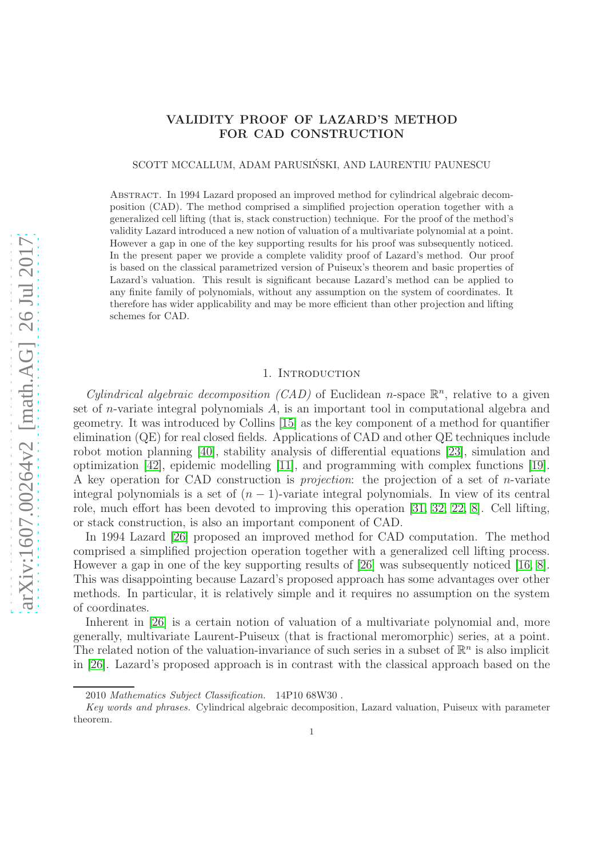# VALIDITY PROOF OF LAZARD'S METHOD FOR CAD CONSTRUCTION

SCOTT MCCALLUM, ADAM PARUSIŃSKI, AND LAURENTIU PAUNESCU

Abstract. In 1994 Lazard proposed an improved method for cylindrical algebraic decomposition (CAD). The method comprised a simplified projection operation together with a generalized cell lifting (that is, stack construction) technique. For the proof of the method's validity Lazard introduced a new notion of valuation of a multivariate polynomial at a point. However a gap in one of the key supporting results for his proof was subsequently noticed. In the present paper we provide a complete validity proof of Lazard's method. Our proof is based on the classical parametrized version of Puiseux's theorem and basic properties of Lazard's valuation. This result is significant because Lazard's method can be applied to any finite family of polynomials, without any assumption on the system of coordinates. It therefore has wider applicability and may be more efficient than other projection and lifting schemes for CAD.

# 1. INTRODUCTION

Cylindrical algebraic decomposition (CAD) of Euclidean n-space  $\mathbb{R}^n$ , relative to a given set of n-variate integral polynomials A, is an important tool in computational algebra and geometry. It was introduced by Collins [\[15\]](#page-19-0) as the key component of a method for quantifier elimination (QE) for real closed fields. Applications of CAD and other QE techniques include robot motion planning [\[40\]](#page-20-0), stability analysis of differential equations [\[23\]](#page-19-1), simulation and optimization [\[42\]](#page-20-1), epidemic modelling [\[11\]](#page-18-0), and programming with complex functions [\[19\]](#page-19-2). A key operation for CAD construction is projection: the projection of a set of n-variate integral polynomials is a set of  $(n - 1)$ -variate integral polynomials. In view of its central role, much effort has been devoted to improving this operation [\[31,](#page-19-3) [32,](#page-19-4) [22,](#page-19-5) [8\]](#page-18-1). Cell lifting, or stack construction, is also an important component of CAD.

In 1994 Lazard [\[26\]](#page-19-6) proposed an improved method for CAD computation. The method comprised a simplified projection operation together with a generalized cell lifting process. However a gap in one of the key supporting results of [\[26\]](#page-19-6) was subsequently noticed [\[16,](#page-19-7) [8\]](#page-18-1). This was disappointing because Lazard's proposed approach has some advantages over other methods. In particular, it is relatively simple and it requires no assumption on the system of coordinates.

Inherent in [\[26\]](#page-19-6) is a certain notion of valuation of a multivariate polynomial and, more generally, multivariate Laurent-Puiseux (that is fractional meromorphic) series, at a point. The related notion of the valuation-invariance of such series in a subset of  $\mathbb{R}^n$  is also implicit in [\[26\]](#page-19-6). Lazard's proposed approach is in contrast with the classical approach based on the

<sup>2010</sup> *Mathematics Subject Classification.* 14P10 68W30 .

*Key words and phrases.* Cylindrical algebraic decomposition, Lazard valuation, Puiseux with parameter theorem.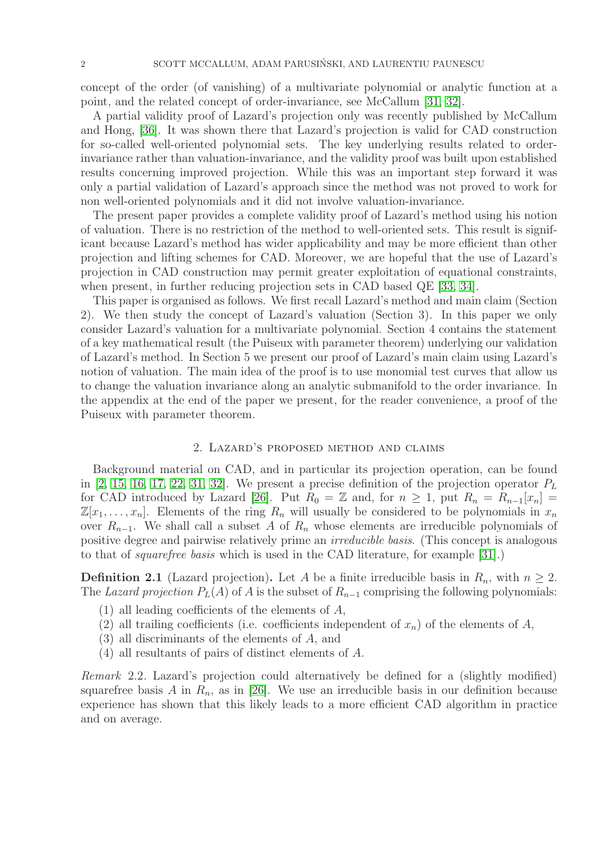concept of the order (of vanishing) of a multivariate polynomial or analytic function at a point, and the related concept of order-invariance, see McCallum [\[31,](#page-19-3) [32\]](#page-19-4).

A partial validity proof of Lazard's projection only was recently published by McCallum and Hong, [\[36\]](#page-19-8). It was shown there that Lazard's projection is valid for CAD construction for so-called well-oriented polynomial sets. The key underlying results related to orderinvariance rather than valuation-invariance, and the validity proof was built upon established results concerning improved projection. While this was an important step forward it was only a partial validation of Lazard's approach since the method was not proved to work for non well-oriented polynomials and it did not involve valuation-invariance.

The present paper provides a complete validity proof of Lazard's method using his notion of valuation. There is no restriction of the method to well-oriented sets. This result is significant because Lazard's method has wider applicability and may be more efficient than other projection and lifting schemes for CAD. Moreover, we are hopeful that the use of Lazard's projection in CAD construction may permit greater exploitation of equational constraints, when present, in further reducing projection sets in CAD based QE [\[33,](#page-19-9) [34\]](#page-19-10).

This paper is organised as follows. We first recall Lazard's method and main claim (Section 2). We then study the concept of Lazard's valuation (Section 3). In this paper we only consider Lazard's valuation for a multivariate polynomial. Section 4 contains the statement of a key mathematical result (the Puiseux with parameter theorem) underlying our validation of Lazard's method. In Section 5 we present our proof of Lazard's main claim using Lazard's notion of valuation. The main idea of the proof is to use monomial test curves that allow us to change the valuation invariance along an analytic submanifold to the order invariance. In the appendix at the end of the paper we present, for the reader convenience, a proof of the Puiseux with parameter theorem.

#### 2. Lazard's proposed method and claims

Background material on CAD, and in particular its projection operation, can be found in [\[2,](#page-18-2) [15,](#page-19-0) [16,](#page-19-7) [17,](#page-19-11) [22,](#page-19-5) [31,](#page-19-3) [32\]](#page-19-4). We present a precise definition of the projection operator  $P_L$ for CAD introduced by Lazard [\[26\]](#page-19-6). Put  $R_0 = \mathbb{Z}$  and, for  $n \geq 1$ , put  $R_n = R_{n-1}[x_n] =$  $\mathbb{Z}[x_1,\ldots,x_n]$ . Elements of the ring  $R_n$  will usually be considered to be polynomials in  $x_n$ over  $R_{n-1}$ . We shall call a subset A of  $R_n$  whose elements are irreducible polynomials of positive degree and pairwise relatively prime an irreducible basis. (This concept is analogous to that of squarefree basis which is used in the CAD literature, for example [\[31\]](#page-19-3).)

**Definition 2.1** (Lazard projection). Let A be a finite irreducible basis in  $R_n$ , with  $n \geq 2$ . The Lazard projection  $P_L(A)$  of A is the subset of  $R_{n-1}$  comprising the following polynomials:

- (1) all leading coefficients of the elements of A,
- (2) all trailing coefficients (i.e. coefficients independent of  $x_n$ ) of the elements of A,
- (3) all discriminants of the elements of A, and
- (4) all resultants of pairs of distinct elements of A.

<span id="page-1-0"></span>Remark 2.2. Lazard's projection could alternatively be defined for a (slightly modified) squarefree basis A in  $R_n$ , as in [\[26\]](#page-19-6). We use an irreducible basis in our definition because experience has shown that this likely leads to a more efficient CAD algorithm in practice and on average.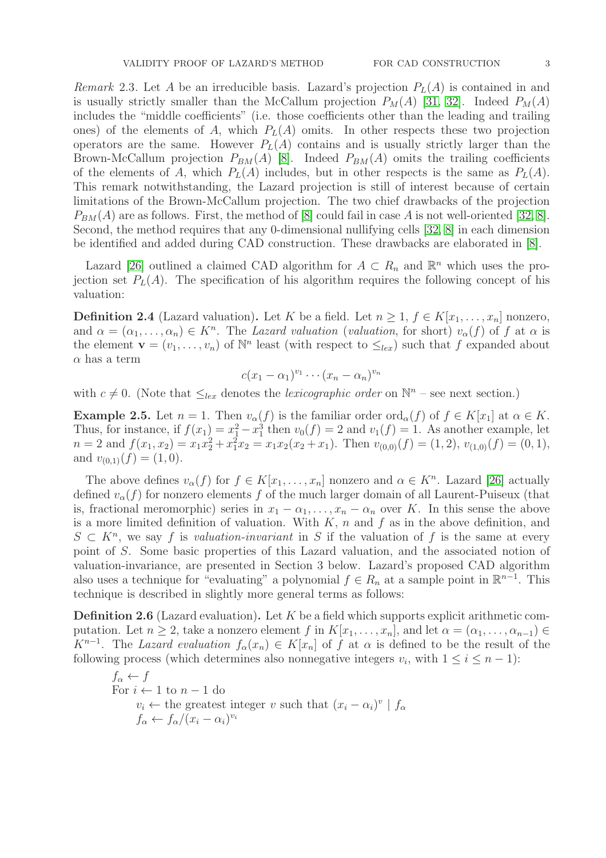Remark 2.3. Let A be an irreducible basis. Lazard's projection  $P<sub>L</sub>(A)$  is contained in and is usually strictly smaller than the McCallum projection  $P_M(A)$  [\[31,](#page-19-3) [32\]](#page-19-4). Indeed  $P_M(A)$ includes the "middle coefficients" (i.e. those coefficients other than the leading and trailing ones) of the elements of A, which  $P_L(A)$  omits. In other respects these two projection operators are the same. However  $P_L(A)$  contains and is usually strictly larger than the Brown-McCallum projection  $P_{BM}(A)$  [\[8\]](#page-18-1). Indeed  $P_{BM}(A)$  omits the trailing coefficients of the elements of A, which  $P<sub>L</sub>(A)$  includes, but in other respects is the same as  $P<sub>L</sub>(A)$ . This remark notwithstanding, the Lazard projection is still of interest because of certain limitations of the Brown-McCallum projection. The two chief drawbacks of the projection  $P_{BM}(A)$  are as follows. First, the method of [\[8\]](#page-18-1) could fail in case A is not well-oriented [\[32,](#page-19-4) [8\]](#page-18-1). Second, the method requires that any 0-dimensional nullifying cells [\[32,](#page-19-4) [8\]](#page-18-1) in each dimension be identified and added during CAD construction. These drawbacks are elaborated in [\[8\]](#page-18-1).

Lazard [\[26\]](#page-19-6) outlined a claimed CAD algorithm for  $A \subset R_n$  and  $\mathbb{R}^n$  which uses the projection set  $P_L(A)$ . The specification of his algorithm requires the following concept of his valuation:

**Definition 2.4** (Lazard valuation). Let K be a field. Let  $n \geq 1$ ,  $f \in K[x_1, \ldots, x_n]$  nonzero, and  $\alpha = (\alpha_1, \ldots, \alpha_n) \in K^n$ . The Lazard valuation (valuation, for short)  $v_{\alpha}(f)$  of f at  $\alpha$  is the element  $\mathbf{v} = (v_1, \ldots, v_n)$  of  $\mathbb{N}^n$  least (with respect to  $\leq_{lex}$ ) such that f expanded about  $\alpha$  has a term

$$
c(x_1-\alpha_1)^{v_1}\cdots(x_n-\alpha_n)^{v_n}
$$

with  $c \neq 0$ . (Note that  $\leq_{lex}$  denotes the lexicographic order on  $\mathbb{N}^n$  – see next section.)

**Example 2.5.** Let  $n = 1$ . Then  $v_{\alpha}(f)$  is the familiar order ord<sub> $\alpha$ </sub> $(f)$  of  $f \in K[x_1]$  at  $\alpha \in K$ . Thus, for instance, if  $f(x_1) = x_1^2 - x_1^3$  then  $v_0(f) = 2$  and  $v_1(f) = 1$ . As another example, let  $n = 2$  and  $f(x_1, x_2) = x_1 x_2^2 + x_1^2 x_2 = x_1 x_2 (x_2 + x_1)$ . Then  $v_{(0,0)}(f) = (1, 2), v_{(1,0)}(f) = (0, 1),$ and  $v_{(0,1)}(f) = (1,0)$ .

The above defines  $v_{\alpha}(f)$  for  $f \in K[x_1, \ldots, x_n]$  nonzero and  $\alpha \in K^n$ . Lazard [\[26\]](#page-19-6) actually defined  $v_{\alpha}(f)$  for nonzero elements f of the much larger domain of all Laurent-Puiseux (that is, fractional meromorphic) series in  $x_1 - \alpha_1, \ldots, x_n - \alpha_n$  over K. In this sense the above is a more limited definition of valuation. With  $K$ ,  $n$  and  $f$  as in the above definition, and  $S \subset K^n$ , we say f is valuation-invariant in S if the valuation of f is the same at every point of S. Some basic properties of this Lazard valuation, and the associated notion of valuation-invariance, are presented in Section 3 below. Lazard's proposed CAD algorithm also uses a technique for "evaluating" a polynomial  $f \in R_n$  at a sample point in  $\mathbb{R}^{n-1}$ . This technique is described in slightly more general terms as follows:

**Definition 2.6** (Lazard evaluation). Let  $K$  be a field which supports explicit arithmetic computation. Let  $n \geq 2$ , take a nonzero element f in  $K[x_1, \ldots, x_n]$ , and let  $\alpha = (\alpha_1, \ldots, \alpha_{n-1}) \in$  $K^{n-1}$ . The Lazard evaluation  $f_{\alpha}(x_n) \in K[x_n]$  of f at  $\alpha$  is defined to be the result of the following process (which determines also nonnegative integers  $v_i$ , with  $1 \leq i \leq n-1$ ):

 $f_{\alpha} \leftarrow f$ For  $i \leftarrow 1$  to  $n-1$  do  $v_i \leftarrow$  the greatest integer v such that  $(x_i - \alpha_i)^v \mid f_\alpha$  $f_{\alpha} \leftarrow f_{\alpha}/(x_i - \alpha_i)^{v_i}$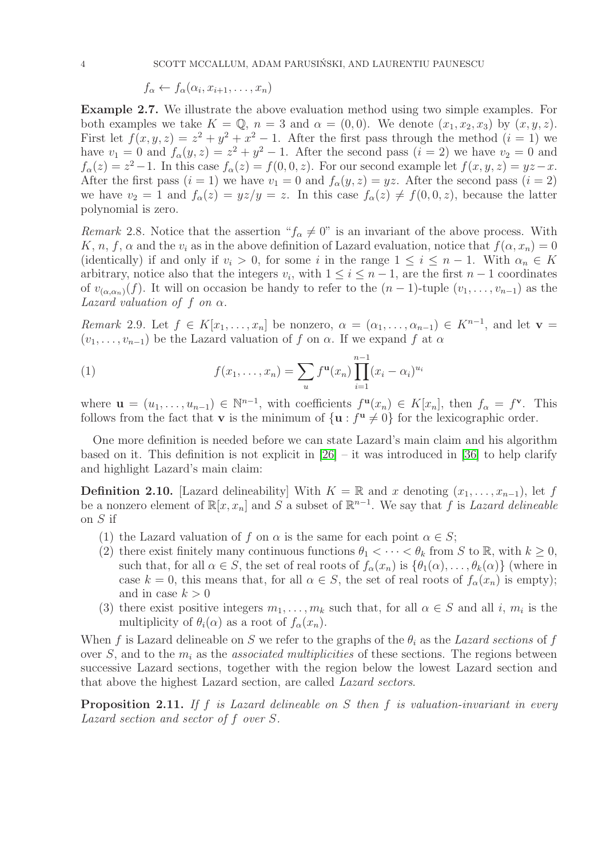$$
f_{\alpha} \leftarrow f_{\alpha}(\alpha_i, x_{i+1}, \dots, x_n)
$$

Example 2.7. We illustrate the above evaluation method using two simple examples. For both examples we take  $K = \mathbb{Q}$ ,  $n = 3$  and  $\alpha = (0, 0)$ . We denote  $(x_1, x_2, x_3)$  by  $(x, y, z)$ . First let  $f(x, y, z) = z^2 + y^2 + x^2 - 1$ . After the first pass through the method  $(i = 1)$  we have  $v_1 = 0$  and  $f_\alpha(y, z) = z^2 + y^2 - 1$ . After the second pass  $(i = 2)$  we have  $v_2 = 0$  and  $f_{\alpha}(z) = z^2 - 1$ . In this case  $f_{\alpha}(z) = f(0, 0, z)$ . For our second example let  $f(x, y, z) = yz - x$ . After the first pass  $(i = 1)$  we have  $v_1 = 0$  and  $f_\alpha(y, z) = yz$ . After the second pass  $(i = 2)$ we have  $v_2 = 1$  and  $f_\alpha(z) = yz/y = z$ . In this case  $f_\alpha(z) \neq f(0, 0, z)$ , because the latter polynomial is zero.

Remark 2.8. Notice that the assertion " $f_{\alpha} \neq 0$ " is an invariant of the above process. With K, n, f,  $\alpha$  and the  $v_i$  as in the above definition of Lazard evaluation, notice that  $f(\alpha, x_n) = 0$ (identically) if and only if  $v_i > 0$ , for some i in the range  $1 \le i \le n-1$ . With  $\alpha_n \in K$ arbitrary, notice also that the integers  $v_i$ , with  $1 \leq i \leq n-1$ , are the first  $n-1$  coordinates of  $v_{(\alpha,\alpha_n)}(f)$ . It will on occasion be handy to refer to the  $(n-1)$ -tuple  $(v_1,\ldots,v_{n-1})$  as the Lazard valuation of f on  $\alpha$ .

Remark 2.9. Let  $f \in K[x_1,\ldots,x_n]$  be nonzero,  $\alpha = (\alpha_1,\ldots,\alpha_{n-1}) \in K^{n-1}$ , and let  $\mathbf{v} =$  $(v_1, \ldots, v_{n-1})$  be the Lazard valuation of f on  $\alpha$ . If we expand f at  $\alpha$ 

<span id="page-3-1"></span>(1) 
$$
f(x_1,...,x_n) = \sum_{u} f^{\mathbf{u}}(x_n) \prod_{i=1}^{n-1} (x_i - \alpha_i)^{u_i}
$$

where  $\mathbf{u} = (u_1, \dots, u_{n-1}) \in \mathbb{N}^{n-1}$ , with coefficients  $f^{\mathbf{u}}(x_n) \in K[x_n]$ , then  $f_\alpha = f^{\mathbf{v}}$ . This follows from the fact that **v** is the minimum of  $\{u : f^u \neq 0\}$  for the lexicographic order.

One more definition is needed before we can state Lazard's main claim and his algorithm based on it. This definition is not explicit in  $[26]$  – it was introduced in [\[36\]](#page-19-8) to help clarify and highlight Lazard's main claim:

<span id="page-3-0"></span>**Definition 2.10.** [Lazard delineability] With  $K = \mathbb{R}$  and x denoting  $(x_1, \ldots, x_{n-1})$ , let f be a nonzero element of  $\mathbb{R}[x, x_n]$  and S a subset of  $\mathbb{R}^{n-1}$ . We say that f is Lazard delineable on S if

- (1) the Lazard valuation of f on  $\alpha$  is the same for each point  $\alpha \in S$ ;
- (2) there exist finitely many continuous functions  $\theta_1 < \cdots < \theta_k$  from S to R, with  $k \geq 0$ , such that, for all  $\alpha \in S$ , the set of real roots of  $f_{\alpha}(x_n)$  is  $\{\theta_1(\alpha), \ldots, \theta_k(\alpha)\}\$  (where in case  $k = 0$ , this means that, for all  $\alpha \in S$ , the set of real roots of  $f_{\alpha}(x_n)$  is empty); and in case  $k > 0$
- (3) there exist positive integers  $m_1, \ldots, m_k$  such that, for all  $\alpha \in S$  and all i,  $m_i$  is the multiplicity of  $\theta_i(\alpha)$  as a root of  $f_\alpha(x_n)$ .

When f is Lazard delineable on S we refer to the graphs of the  $\theta_i$  as the Lazard sections of f over S, and to the  $m_i$  as the *associated multiplicities* of these sections. The regions between successive Lazard sections, together with the region below the lowest Lazard section and that above the highest Lazard section, are called Lazard sectors.

**Proposition 2.11.** If f is Lazard delineable on S then f is valuation-invariant in every Lazard section and sector of f over S.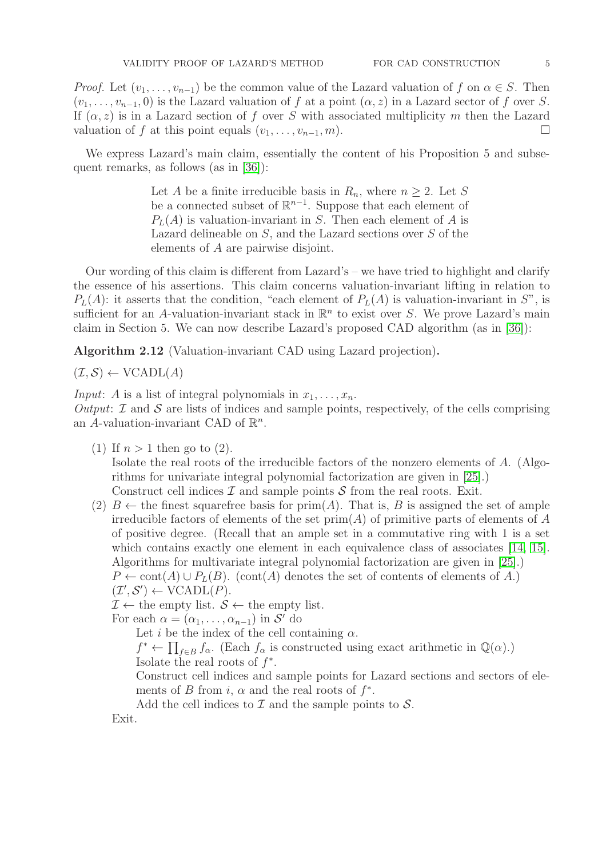*Proof.* Let  $(v_1, \ldots, v_{n-1})$  be the common value of the Lazard valuation of f on  $\alpha \in S$ . Then  $(v_1, \ldots, v_{n-1}, 0)$  is the Lazard valuation of f at a point  $(\alpha, z)$  in a Lazard sector of f over S. If  $(\alpha, z)$  is in a Lazard section of f over S with associated multiplicity m then the Lazard valuation of f at this point equals  $(v_1, \ldots, v_{n-1}, m)$ .

We express Lazard's main claim, essentially the content of his Proposition 5 and subsequent remarks, as follows (as in [\[36\]](#page-19-8)):

> Let A be a finite irreducible basis in  $R_n$ , where  $n \geq 2$ . Let S be a connected subset of  $\mathbb{R}^{n-1}$ . Suppose that each element of  $P<sub>L</sub>(A)$  is valuation-invariant in S. Then each element of A is Lazard delineable on S, and the Lazard sections over S of the elements of A are pairwise disjoint.

Our wording of this claim is different from Lazard's – we have tried to highlight and clarify the essence of his assertions. This claim concerns valuation-invariant lifting in relation to  $P<sub>L</sub>(A)$ : it asserts that the condition, "each element of  $P<sub>L</sub>(A)$  is valuation-invariant in S", is sufficient for an A-valuation-invariant stack in  $\mathbb{R}^n$  to exist over S. We prove Lazard's main claim in Section 5. We can now describe Lazard's proposed CAD algorithm (as in [\[36\]](#page-19-8)):

Algorithm 2.12 (Valuation-invariant CAD using Lazard projection).

$$
(\mathcal{I}, \mathcal{S}) \leftarrow \text{VCADL}(A)
$$

*Input: A* is a list of integral polynomials in  $x_1, \ldots, x_n$ .

Output:  $I$  and  $S$  are lists of indices and sample points, respectively, of the cells comprising an A-valuation-invariant CAD of  $\mathbb{R}^n$ .

(1) If  $n > 1$  then go to (2).

Isolate the real roots of the irreducible factors of the nonzero elements of A. (Algorithms for univariate integral polynomial factorization are given in [\[25\]](#page-19-12).) Construct cell indices  $\mathcal I$  and sample points  $\mathcal S$  from the real roots. Exit.

(2)  $B \leftarrow$  the finest squarefree basis for prim(A). That is, B is assigned the set of ample irreducible factors of elements of the set  $prim(A)$  of primitive parts of elements of A of positive degree. (Recall that an ample set in a commutative ring with 1 is a set which contains exactly one element in each equivalence class of associates [\[14,](#page-19-13) [15\]](#page-19-0). Algorithms for multivariate integral polynomial factorization are given in [\[25\]](#page-19-12).)  $P \leftarrow \text{cont}(A) \cup P_L(B)$ . (cont(A) denotes the set of contents of elements of A.)  $(\mathcal{I}', \mathcal{S}') \leftarrow \text{VCADL}(P).$ 

 $\mathcal{I} \leftarrow$  the empty list.  $\mathcal{S} \leftarrow$  the empty list.

For each  $\alpha = (\alpha_1, \ldots, \alpha_{n-1})$  in  $\mathcal{S}'$  do

Let *i* be the index of the cell containing  $\alpha$ .

 $f^* \leftarrow \prod_{f \in B} f_\alpha$ . (Each  $f_\alpha$  is constructed using exact arithmetic in  $\mathbb{Q}(\alpha)$ .)

Isolate the real roots of  $f^*$ .

Construct cell indices and sample points for Lazard sections and sectors of elements of B from i,  $\alpha$  and the real roots of  $f^*$ .

Add the cell indices to  $\mathcal I$  and the sample points to  $\mathcal S$ .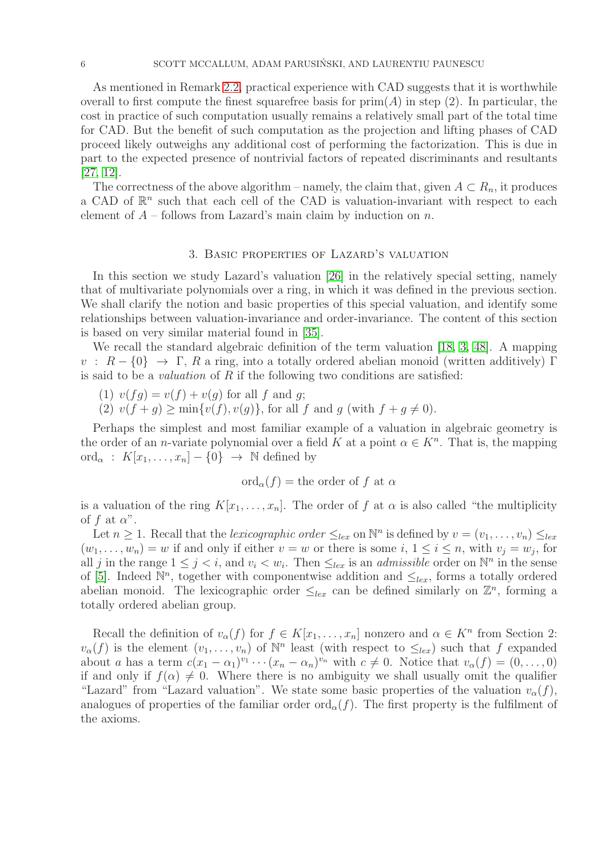As mentioned in Remark [2.2,](#page-1-0) practical experience with CAD suggests that it is worthwhile overall to first compute the finest squarefree basis for  $\text{prim}(A)$  in step (2). In particular, the cost in practice of such computation usually remains a relatively small part of the total time for CAD. But the benefit of such computation as the projection and lifting phases of CAD proceed likely outweighs any additional cost of performing the factorization. This is due in part to the expected presence of nontrivial factors of repeated discriminants and resultants [\[27,](#page-19-14) [12\]](#page-18-3).

The correctness of the above algorithm – namely, the claim that, given  $A \subset R_n$ , it produces a CAD of  $\mathbb{R}^n$  such that each cell of the CAD is valuation-invariant with respect to each element of  $A$  – follows from Lazard's main claim by induction on n.

### 3. Basic properties of Lazard's valuation

In this section we study Lazard's valuation [\[26\]](#page-19-6) in the relatively special setting, namely that of multivariate polynomials over a ring, in which it was defined in the previous section. We shall clarify the notion and basic properties of this special valuation, and identify some relationships between valuation-invariance and order-invariance. The content of this section is based on very similar material found in [\[35\]](#page-19-15).

We recall the standard algebraic definition of the term valuation [\[18,](#page-19-16) [3,](#page-18-4) [48\]](#page-20-2). A mapping  $v : R - \{0\} \rightarrow \Gamma$ , R a ring, into a totally ordered abelian monoid (written additively) Γ is said to be a *valuation* of R if the following two conditions are satisfied:

- (1)  $v(fg) = v(f) + v(g)$  for all f and g;
- (2)  $v(f + q) > \min\{v(f), v(q)\}\)$ , for all f and q (with  $f + q \neq 0$ ).

Perhaps the simplest and most familiar example of a valuation in algebraic geometry is the order of an *n*-variate polynomial over a field K at a point  $\alpha \in K^n$ . That is, the mapping ord<sub> $\alpha$ </sub> :  $K[x_1, \ldots, x_n] - \{0\} \rightarrow \mathbb{N}$  defined by

$$
\mathrm{ord}_{\alpha}(f)=\mathrm{the\ order\ of}\ f\ \mathrm{at}\ \alpha
$$

is a valuation of the ring  $K[x_1, \ldots, x_n]$ . The order of f at  $\alpha$  is also called "the multiplicity of f at  $\alpha$ ".

Let  $n \geq 1$ . Recall that the lexicographic order  $\leq_{lex}$  on  $\mathbb{N}^n$  is defined by  $v = (v_1, \ldots, v_n) \leq_{lex}$  $(w_1, \ldots, w_n) = w$  if and only if either  $v = w$  or there is some  $i, 1 \le i \le n$ , with  $v_j = w_j$ , for all j in the range  $1 \leq j < i$ , and  $v_i < w_i$ . Then  $\leq_{lex}$  is an *admissible* order on  $\mathbb{N}^n$  in the sense of [\[5\]](#page-18-5). Indeed  $\mathbb{N}^n$ , together with componentwise addition and  $\leq_{lex}$ , forms a totally ordered abelian monoid. The lexicographic order  $\leq_{lex}$  can be defined similarly on  $\mathbb{Z}^n$ , forming a totally ordered abelian group.

Recall the definition of  $v_{\alpha}(f)$  for  $f \in K[x_1, \ldots, x_n]$  nonzero and  $\alpha \in K^n$  from Section 2:  $v_{\alpha}(f)$  is the element  $(v_1, \ldots, v_n)$  of  $\mathbb{N}^n$  least (with respect to  $\leq_{lex}$ ) such that f expanded about a has a term  $c(x_1 - \alpha_1)^{v_1} \cdots (x_n - \alpha_n)^{v_n}$  with  $c \neq 0$ . Notice that  $v_\alpha(f) = (0, \ldots, 0)$ if and only if  $f(\alpha) \neq 0$ . Where there is no ambiguity we shall usually omit the qualifier "Lazard" from "Lazard valuation". We state some basic properties of the valuation  $v_{\alpha}(f)$ , analogues of properties of the familiar order ord<sub> $\alpha$ </sub>(f). The first property is the fulfilment of the axioms.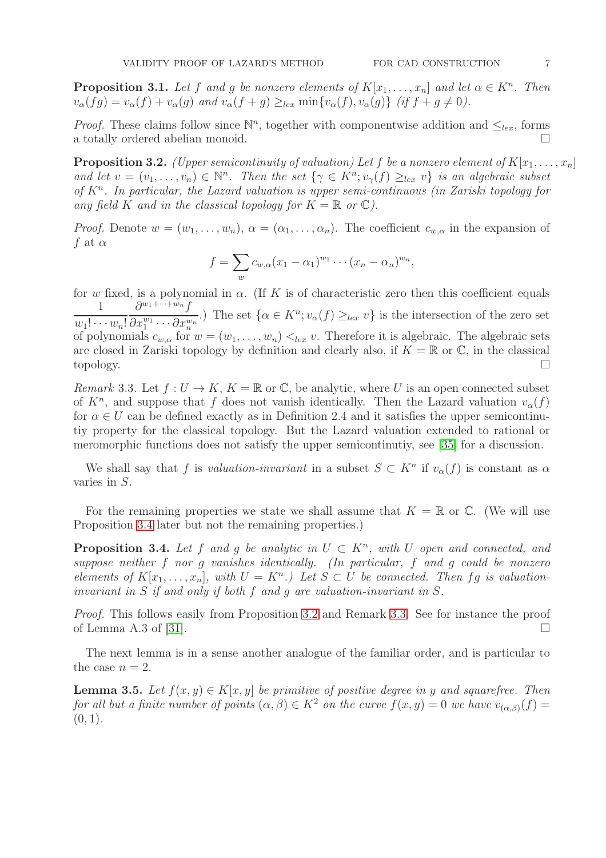**Proposition 3.1.** Let f and g be nonzero elements of  $K[x_1, \ldots, x_n]$  and let  $\alpha \in K^n$ . Then  $v_{\alpha}(fg) = v_{\alpha}(f) + v_{\alpha}(g)$  and  $v_{\alpha}(f+g) \geq_{lex} \min\{v_{\alpha}(f), v_{\alpha}(g)\}\$  (if  $f+g \neq 0$ ).

*Proof.* These claims follow since  $\mathbb{N}^n$ , together with componentwise addition and  $\leq_{lex}$ , forms a totally ordered abelian monoid.

<span id="page-6-1"></span>**Proposition 3.2.** (Upper semicontinuity of valuation) Let f be a nonzero element of  $K[x_1, \ldots, x_n]$ and let  $v = (v_1, \ldots, v_n) \in \mathbb{N}^n$ . Then the set  $\{\gamma \in K^n; v_{\gamma}(f) \geq_{lex} v\}$  is an algebraic subset of  $K<sup>n</sup>$ . In particular, the Lazard valuation is upper semi-continuous (in Zariski topology for any field K and in the classical topology for  $K = \mathbb{R}$  or  $\mathbb{C}$ ).

*Proof.* Denote  $w = (w_1, \ldots, w_n)$ ,  $\alpha = (\alpha_1, \ldots, \alpha_n)$ . The coefficient  $c_{w,\alpha}$  in the expansion of f at  $\alpha$ 

$$
f = \sum_{w} c_{w,\alpha} (x_1 - \alpha_1)^{w_1} \cdots (x_n - \alpha_n)^{w_n},
$$

for w fixed, is a polynomial in  $\alpha$ . (If K is of characteristic zero then this coefficient equals 1  $w_1! \cdots w_n!$  $\partial^{w_1+\cdots+w_n}f$  $\overline{\partial x_1^{w_1}\cdots \partial x_n^{w_n}}$ .) The set  $\{\alpha \in K^n; v_{\alpha}(f) \geq_{lex} v\}$  is the intersection of the zero set of polynomials  $c_{w,\alpha}$  for  $w = (w_1, \ldots, w_n) <_{lex} v$ . Therefore it is algebraic. The algebraic sets are closed in Zariski topology by definition and clearly also, if  $K = \mathbb{R}$  or  $\mathbb{C}$ , in the classical topology.

<span id="page-6-2"></span>Remark 3.3. Let  $f: U \to K$ ,  $K = \mathbb{R}$  or  $\mathbb{C}$ , be analytic, where U is an open connected subset of  $K<sup>n</sup>$ , and suppose that f does not vanish identically. Then the Lazard valuation  $v_{\alpha}(f)$ for  $\alpha \in U$  can be defined exactly as in Definition 2.4 and it satisfies the upper semicontinutiy property for the classical topology. But the Lazard valuation extended to rational or meromorphic functions does not satisfy the upper semicontinutiy, see [\[35\]](#page-19-15) for a discussion.

We shall say that f is valuation-invariant in a subset  $S \subset K^n$  if  $v_\alpha(f)$  is constant as  $\alpha$ varies in S.

For the remaining properties we state we shall assume that  $K = \mathbb{R}$  or  $\mathbb{C}$ . (We will use Proposition [3.4](#page-6-0) later but not the remaining properties.)

<span id="page-6-0"></span>**Proposition 3.4.** Let f and g be analytic in  $U \subset K<sup>n</sup>$ , with U open and connected, and suppose neither f nor g vanishes identically. (In particular, f and g could be nonzero elements of  $K[x_1, \ldots, x_n]$ , with  $U = K^n$ .) Let  $S \subset U$  be connected. Then fg is valuationinvariant in S if and only if both f and g are valuation-invariant in S.

Proof. This follows easily from Proposition [3.2](#page-6-1) and Remark [3.3.](#page-6-2) See for instance the proof of Lemma A.3 of [\[31\]](#page-19-3).

The next lemma is in a sense another analogue of the familiar order, and is particular to the case  $n = 2$ .

<span id="page-6-3"></span>**Lemma 3.5.** Let  $f(x, y) \in K[x, y]$  be primitive of positive degree in y and squarefree. Then for all but a finite number of points  $(\alpha, \beta) \in K^2$  on the curve  $f(x, y) = 0$  we have  $v_{(\alpha, \beta)}(f) =$  $(0, 1)$ .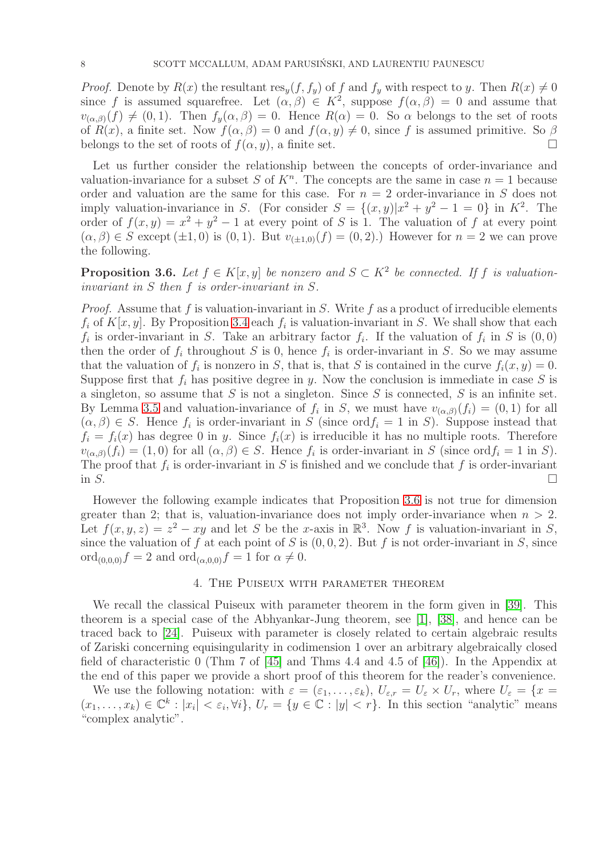*Proof.* Denote by  $R(x)$  the resultant  $res_y(f, f_y)$  of f and  $f_y$  with respect to y. Then  $R(x) \neq 0$ since f is assumed squarefree. Let  $(\alpha, \beta) \in K^2$ , suppose  $f(\alpha, \beta) = 0$  and assume that  $v_{(\alpha,\beta)}(f) \neq (0, 1)$ . Then  $f_y(\alpha,\beta) = 0$ . Hence  $R(\alpha) = 0$ . So  $\alpha$  belongs to the set of roots of  $R(x)$ , a finite set. Now  $f(\alpha, \beta) = 0$  and  $f(\alpha, y) \neq 0$ , since f is assumed primitive. So  $\beta$ belongs to the set of roots of  $f(\alpha, y)$ , a finite set.

Let us further consider the relationship between the concepts of order-invariance and valuation-invariance for a subset S of  $K<sup>n</sup>$ . The concepts are the same in case  $n = 1$  because order and valuation are the same for this case. For  $n = 2$  order-invariance in S does not imply valuation-invariance in S. (For consider  $S = \{(x, y)|x^2 + y^2 - 1 = 0\}$  in  $K^2$ . The order of  $f(x, y) = x^2 + y^2 - 1$  at every point of S is 1. The valuation of f at every point  $(\alpha, \beta) \in S$  except  $(\pm 1, 0)$  is  $(0, 1)$ . But  $v_{(+1,0)}(f) = (0, 2)$ .) However for  $n = 2$  we can prove the following.

<span id="page-7-0"></span>**Proposition 3.6.** Let  $f \in K[x, y]$  be nonzero and  $S \subset K^2$  be connected. If f is valuationinvariant in S then f is order-invariant in S.

*Proof.* Assume that f is valuation-invariant in S. Write f as a product of irreducible elements  $f_i$  of  $K[x, y]$ . By Proposition [3.4](#page-6-0) each  $f_i$  is valuation-invariant in S. We shall show that each  $f_i$  is order-invariant in S. Take an arbitrary factor  $f_i$ . If the valuation of  $f_i$  in S is  $(0,0)$ then the order of  $f_i$  throughout S is 0, hence  $f_i$  is order-invariant in S. So we may assume that the valuation of  $f_i$  is nonzero in S, that is, that S is contained in the curve  $f_i(x, y) = 0$ . Suppose first that  $f_i$  has positive degree in y. Now the conclusion is immediate in case S is a singleton, so assume that  $S$  is not a singleton. Since  $S$  is connected,  $S$  is an infinite set. By Lemma [3.5](#page-6-3) and valuation-invariance of  $f_i$  in S, we must have  $v_{(\alpha,\beta)}(f_i) = (0,1)$  for all  $(\alpha, \beta) \in S$ . Hence  $f_i$  is order-invariant in S (since ord  $f_i = 1$  in S). Suppose instead that  $f_i = f_i(x)$  has degree 0 in y. Since  $f_i(x)$  is irreducible it has no multiple roots. Therefore  $v_{(\alpha,\beta)}(f_i) = (1,0)$  for all  $(\alpha,\beta) \in S$ . Hence  $f_i$  is order-invariant in S (since ord  $f_i = 1$  in S). The proof that  $f_i$  is order-invariant in S is finished and we conclude that  $f$  is order-invariant in  $S$ .

However the following example indicates that Proposition [3.6](#page-7-0) is not true for dimension greater than 2; that is, valuation-invariance does not imply order-invariance when  $n > 2$ . Let  $f(x, y, z) = z^2 - xy$  and let S be the x-axis in  $\mathbb{R}^3$ . Now f is valuation-invariant in S, since the valuation of f at each point of S is  $(0, 0, 2)$ . But f is not order-invariant in S, since ord<sub>(0,0,0)</sub> $f = 2$  and ord<sub>( $\alpha$ ,0,0)</sub> $f = 1$  for  $\alpha \neq 0$ .

# 4. The Puiseux with parameter theorem

We recall the classical Puiseux with parameter theorem in the form given in [\[39\]](#page-20-3). This theorem is a special case of the Abhyankar-Jung theorem, see [\[1\]](#page-18-6), [\[38\]](#page-19-17), and hence can be traced back to [\[24\]](#page-19-18). Puiseux with parameter is closely related to certain algebraic results of Zariski concerning equisingularity in codimension 1 over an arbitrary algebraically closed field of characteristic 0 (Thm 7 of [\[45\]](#page-20-4) and Thms 4.4 and 4.5 of [\[46\]](#page-20-5)). In the Appendix at the end of this paper we provide a short proof of this theorem for the reader's convenience.

We use the following notation: with  $\varepsilon = (\varepsilon_1, \ldots, \varepsilon_k)$ ,  $U_{\varepsilon,r} = U_{\varepsilon} \times U_r$ , where  $U_{\varepsilon} = \{x =$  $(x_1,\ldots,x_k)\in\mathbb{C}^k:|x_i|<\varepsilon_i,\forall i\},\ U_r=\{y\in\mathbb{C}:|y| In this section "analytic" means$ "complex analytic".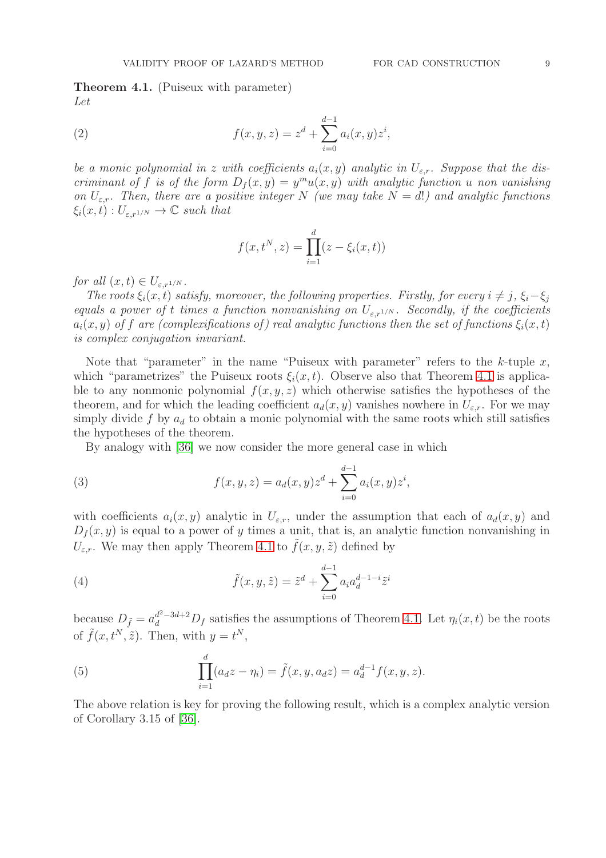<span id="page-8-0"></span>Theorem 4.1. (Puiseux with parameter) Let

(2) 
$$
f(x, y, z) = zd + \sum_{i=0}^{d-1} a_i(x, y) zi,
$$

be a monic polynomial in z with coefficients  $a_i(x, y)$  analytic in  $U_{\varepsilon,r}$ . Suppose that the discriminant of f is of the form  $D_f(x,y) = y^m u(x,y)$  with analytic function u non vanishing on  $U_{\varepsilon,r}$ . Then, there are a positive integer N (we may take  $N = d!$ ) and analytic functions  $\xi_i(x,t): U_{\varepsilon,r^{1/N}} \to \mathbb{C}$  such that

$$
f(x, t^N, z) = \prod_{i=1}^d (z - \xi_i(x, t))
$$

for all  $(x, t) \in U_{\varepsilon, r^{1/N}}$ .

The roots  $\xi_i(x, t)$  satisfy, moreover, the following properties. Firstly, for every  $i \neq j$ ,  $\xi_i-\xi_j$ equals a power of t times a function nonvanishing on  $U_{\varepsilon,r^{1/N}}$ . Secondly, if the coefficients  $a_i(x, y)$  of f are (complexifications of) real analytic functions then the set of functions  $\xi_i(x, t)$ is complex conjugation invariant.

Note that "parameter" in the name "Puiseux with parameter" refers to the  $k$ -tuple  $x$ , which "parametrizes" the Puiseux roots  $\xi_i(x, t)$ . Observe also that Theorem [4.1](#page-8-0) is applicable to any nonmonic polynomial  $f(x, y, z)$  which otherwise satisfies the hypotheses of the theorem, and for which the leading coefficient  $a_d(x, y)$  vanishes nowhere in  $U_{\varepsilon,r}$ . For we may simply divide f by  $a_d$  to obtain a monic polynomial with the same roots which still satisfies the hypotheses of the theorem.

By analogy with [\[36\]](#page-19-8) we now consider the more general case in which

<span id="page-8-1"></span>(3) 
$$
f(x, y, z) = a_d(x, y)z^d + \sum_{i=0}^{d-1} a_i(x, y)z^i,
$$

with coefficients  $a_i(x, y)$  analytic in  $U_{\varepsilon,r}$ , under the assumption that each of  $a_d(x, y)$  and  $D_f(x, y)$  is equal to a power of y times a unit, that is, an analytic function nonvanishing in  $U_{\varepsilon,r}$ . We may then apply Theorem [4.1](#page-8-0) to  $\tilde{f}(x, y, \tilde{z})$  defined by

(4) 
$$
\tilde{f}(x, y, \tilde{z}) = \tilde{z}^d + \sum_{i=0}^{d-1} a_i a_d^{d-1-i} \tilde{z}^i
$$

because  $D_{\tilde{f}} = a_d^{d^2-3d+2} D_f$  satisfies the assumptions of Theorem [4.1.](#page-8-0) Let  $\eta_i(x,t)$  be the roots of  $\tilde{f}(x, t^N, \tilde{z})$ . Then, with  $y = t^N$ ,

<span id="page-8-2"></span>(5) 
$$
\prod_{i=1}^{d} (a_d z - \eta_i) = \tilde{f}(x, y, a_d z) = a_d^{d-1} f(x, y, z).
$$

The above relation is key for proving the following result, which is a complex analytic version of Corollary 3.15 of [\[36\]](#page-19-8).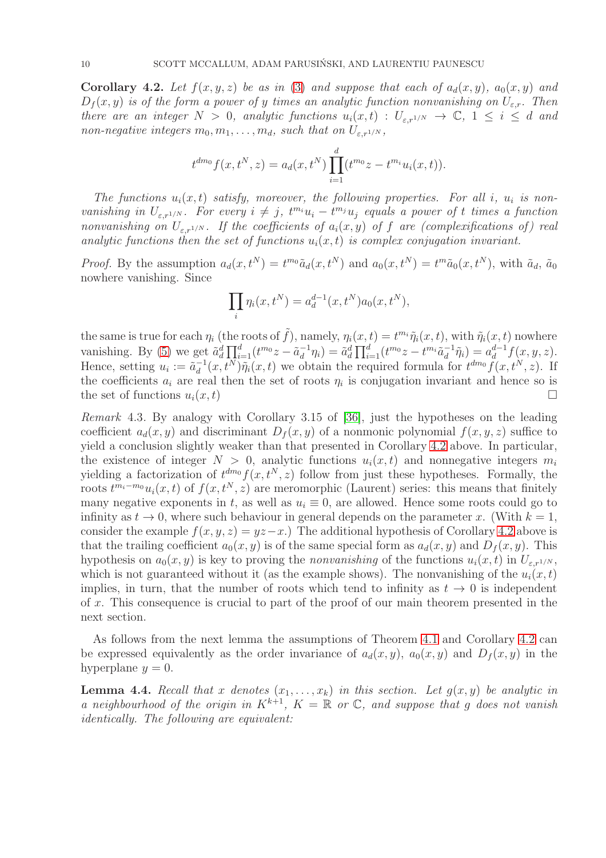<span id="page-9-0"></span>**Corollary 4.2.** Let  $f(x, y, z)$  be as in [\(3\)](#page-8-1) and suppose that each of  $a_d(x, y)$ ,  $a_0(x, y)$  and  $D_f(x, y)$  is of the form a power of y times an analytic function nonvanishing on  $U_{\varepsilon,r}$ . Then there are an integer  $N > 0$ , analytic functions  $u_i(x,t) : U_{\varepsilon,r^{1/N}} \to \mathbb{C}$ ,  $1 \leq i \leq d$  and non-negative integers  $m_0, m_1, \ldots, m_d$ , such that on  $U_{\varepsilon,r^{1/N}}$ ,

$$
t^{dm_0} f(x, t^N, z) = a_d(x, t^N) \prod_{i=1}^d (t^{m_0}z - t^{m_i}u_i(x, t)).
$$

The functions  $u_i(x,t)$  satisfy, moreover, the following properties. For all i,  $u_i$  is nonvanishing in  $U_{\varepsilon,r^{1/N}}$ . For every  $i \neq j$ ,  $t^{m_i}u_i - t^{m_j}u_j$  equals a power of t times a function nonvanishing on  $U_{\varepsilon,r^{1/N}}$ . If the coefficients of  $a_i(x,y)$  of f are (complexifications of) real analytic functions then the set of functions  $u_i(x, t)$  is complex conjugation invariant.

*Proof.* By the assumption  $a_d(x, t^N) = t^{m_0} \tilde{a}_d(x, t^N)$  and  $a_0(x, t^N) = t^m \tilde{a}_0(x, t^N)$ , with  $\tilde{a}_d$ ,  $\tilde{a}_0$ nowhere vanishing. Since

$$
\prod_i \eta_i(x, t^N) = a_d^{d-1}(x, t^N) a_0(x, t^N),
$$

the same is true for each  $\eta_i$  (the roots of  $\tilde{f}$ ), namely,  $\eta_i(x,t) = t^{m_i} \tilde{\eta}_i(x,t)$ , with  $\tilde{\eta}_i(x,t)$  nowhere vanishing. By [\(5\)](#page-8-2) we get  $\tilde{a}_d^d \prod_{i=1}^d (t^{m_0}z - \tilde{a}_d^{-1})$  $\tilde{a}_d^{-1}\eta_i$ ) =  $\tilde{a}_d^d \prod_{i=1}^d (t^{m_0}z - t^{m_i}\tilde{a}_d^{-1})$  $\bar{a}^{-1}\tilde{\eta}_i$ ) =  $a_d^{d-1}$  $\frac{d-1}{d} f(x, y, z).$ Hence, setting  $u_i := \tilde{a}_d^{-1}$  $\bar{d}^{(1)}(x, t^N)\tilde{\eta}_i(x, t)$  we obtain the required formula for  $t^{dm_0}f(x, t^N, z)$ . If the coefficients  $a_i$  are real then the set of roots  $\eta_i$  is conjugation invariant and hence so is the set of functions  $u_i(x, t)$ 

Remark 4.3. By analogy with Corollary 3.15 of [\[36\]](#page-19-8), just the hypotheses on the leading coefficient  $a_d(x, y)$  and discriminant  $D_f(x, y)$  of a nonmonic polynomial  $f(x, y, z)$  suffice to yield a conclusion slightly weaker than that presented in Corollary [4.2](#page-9-0) above. In particular, the existence of integer  $N > 0$ , analytic functions  $u_i(x, t)$  and nonnegative integers  $m_i$ yielding a factorization of  $t^{dm_0} f(x, t^N, z)$  follow from just these hypotheses. Formally, the roots  $t^{m_i-m_0}u_i(x,t)$  of  $f(x,t^N,z)$  are meromorphic (Laurent) series: this means that finitely many negative exponents in t, as well as  $u_i \equiv 0$ , are allowed. Hence some roots could go to infinity as  $t \to 0$ , where such behaviour in general depends on the parameter x. (With  $k = 1$ , consider the example  $f(x, y, z) = yz-x$ .) The additional hypothesis of Corollary [4.2](#page-9-0) above is that the trailing coefficient  $a_0(x, y)$  is of the same special form as  $a_d(x, y)$  and  $D_f(x, y)$ . This hypothesis on  $a_0(x, y)$  is key to proving the nonvanishing of the functions  $u_i(x, t)$  in  $U_{\varepsilon, r^{1/N}}$ , which is not guaranteed without it (as the example shows). The nonvanishing of the  $u_i(x, t)$ implies, in turn, that the number of roots which tend to infinity as  $t \to 0$  is independent of x. This consequence is crucial to part of the proof of our main theorem presented in the next section.

As follows from the next lemma the assumptions of Theorem [4.1](#page-8-0) and Corollary [4.2](#page-9-0) can be expressed equivalently as the order invariance of  $a_d(x, y)$ ,  $a_0(x, y)$  and  $D_f(x, y)$  in the hyperplane  $y = 0$ .

<span id="page-9-1"></span>**Lemma 4.4.** Recall that x denotes  $(x_1, \ldots, x_k)$  in this section. Let  $g(x, y)$  be analytic in a neighbourhood of the origin in  $K^{k+1}$ ,  $K = \mathbb{R}$  or  $\mathbb{C}$ , and suppose that g does not vanish identically. The following are equivalent: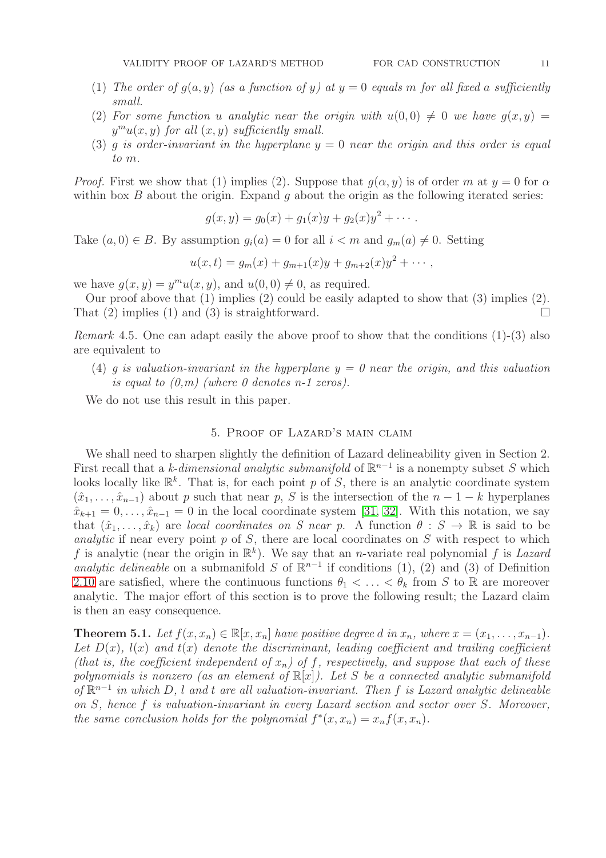- (1) The order of  $g(a, y)$  (as a function of y) at  $y = 0$  equals m for all fixed a sufficiently small.
- (2) For some function u analytic near the origin with  $u(0, 0) \neq 0$  we have  $g(x, y) =$  $y^m u(x, y)$  for all  $(x, y)$  sufficiently small.
- (3) g is order-invariant in the hyperplane  $y = 0$  near the origin and this order is equal to m.

*Proof.* First we show that (1) implies (2). Suppose that  $g(\alpha, y)$  is of order m at  $y = 0$  for  $\alpha$ within box  $B$  about the origin. Expand  $g$  about the origin as the following iterated series:

$$
g(x,y) = g_0(x) + g_1(x)y + g_2(x)y^2 + \cdots
$$

Take  $(a, 0) \in B$ . By assumption  $q_i(a) = 0$  for all  $i < m$  and  $q_m(a) \neq 0$ . Setting

$$
u(x,t) = g_m(x) + g_{m+1}(x)y + g_{m+2}(x)y^{2} + \cdots,
$$

we have  $g(x, y) = y^m u(x, y)$ , and  $u(0, 0) \neq 0$ , as required.

Our proof above that (1) implies (2) could be easily adapted to show that (3) implies (2). That (2) implies (1) and (3) is straightforward.

Remark 4.5. One can adapt easily the above proof to show that the conditions (1)-(3) also are equivalent to

(4) q is valuation-invariant in the hyperplane  $y = 0$  near the origin, and this valuation is equal to  $(0,m)$  (where 0 denotes n-1 zeros).

We do not use this result in this paper.

# 5. Proof of Lazard's main claim

We shall need to sharpen slightly the definition of Lazard delineability given in Section 2. First recall that a k-dimensional analytic submanifold of  $\mathbb{R}^{n-1}$  is a nonempty subset S which looks locally like  $\mathbb{R}^k$ . That is, for each point p of S, there is an analytic coordinate system  $(\hat{x}_1, \ldots, \hat{x}_{n-1})$  about p such that near p, S is the intersection of the  $n-1-k$  hyperplanes  $\hat{x}_{k+1} = 0, \ldots, \hat{x}_{n-1} = 0$  in the local coordinate system [\[31,](#page-19-3) [32\]](#page-19-4). With this notation, we say that  $(\hat{x}_1, \ldots, \hat{x}_k)$  are local coordinates on S near p. A function  $\theta : S \to \mathbb{R}$  is said to be analytic if near every point  $p$  of  $S$ , there are local coordinates on  $S$  with respect to which f is analytic (near the origin in  $\mathbb{R}^k$ ). We say that an *n*-variate real polynomial f is Lazard analytic delineable on a submanifold S of  $\mathbb{R}^{n-1}$  if conditions (1), (2) and (3) of Definition [2.10](#page-3-0) are satisfied, where the continuous functions  $\theta_1 < \ldots < \theta_k$  from S to R are moreover analytic. The major effort of this section is to prove the following result; the Lazard claim is then an easy consequence.

<span id="page-10-0"></span>**Theorem 5.1.** Let  $f(x, x_n) \in \mathbb{R}[x, x_n]$  have positive degree d in  $x_n$ , where  $x = (x_1, \ldots, x_{n-1})$ . Let  $D(x)$ ,  $l(x)$  and  $t(x)$  denote the discriminant, leading coefficient and trailing coefficient (that is, the coefficient independent of  $x_n$ ) of f, respectively, and suppose that each of these polynomials is nonzero (as an element of  $\mathbb{R}[x]$ ). Let S be a connected analytic submanifold of  $\mathbb{R}^{n-1}$  in which D, l and t are all valuation-invariant. Then f is Lazard analytic delineable on S, hence f is valuation-invariant in every Lazard section and sector over S. Moreover, the same conclusion holds for the polynomial  $f^*(x, x_n) = x_n f(x, x_n)$ .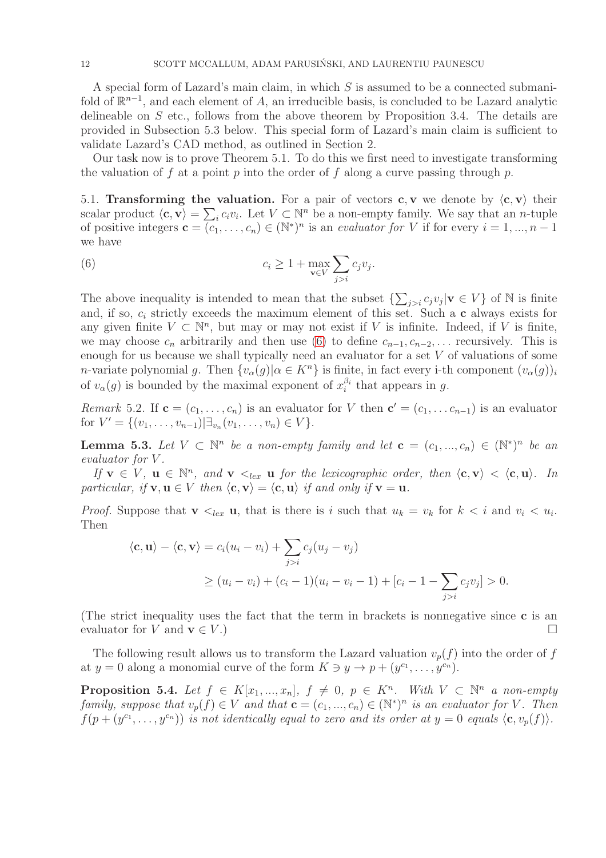A special form of Lazard's main claim, in which S is assumed to be a connected submanifold of  $\mathbb{R}^{n-1}$ , and each element of A, an irreducible basis, is concluded to be Lazard analytic delineable on S etc., follows from the above theorem by Proposition 3.4. The details are provided in Subsection 5.3 below. This special form of Lazard's main claim is sufficient to validate Lazard's CAD method, as outlined in Section 2.

Our task now is to prove Theorem 5.1. To do this we first need to investigate transforming the valuation of f at a point p into the order of f along a curve passing through p.

5.1. Transforming the valuation. For a pair of vectors c, v we denote by  $\langle c, v \rangle$  their scalar product  $\langle \mathbf{c}, \mathbf{v} \rangle = \sum_i c_i v_i$ . Let  $V \subset \mathbb{N}^n$  be a non-empty family. We say that an *n*-tuple of positive integers  $\mathbf{c} = (c_1, \ldots, c_n) \in (\mathbb{N}^*)^n$  is an *evaluator for* V if for every  $i = 1, \ldots, n - 1$ we have

<span id="page-11-0"></span>(6) 
$$
c_i \geq 1 + \max_{\mathbf{v} \in V} \sum_{j>i} c_j v_j.
$$

The above inequality is intended to mean that the subset  $\{\sum_{j>i} c_j v_j | v \in V\}$  of N is finite and, if so,  $c_i$  strictly exceeds the maximum element of this set. Such a c always exists for any given finite  $V \subset \mathbb{N}^n$ , but may or may not exist if V is infinite. Indeed, if V is finite, we may choose  $c_n$  arbitrarily and then use [\(6\)](#page-11-0) to define  $c_{n-1}, c_{n-2}, \ldots$  recursively. This is enough for us because we shall typically need an evaluator for a set  $V$  of valuations of some *n*-variate polynomial g. Then  $\{v_{\alpha}(g) | \alpha \in K^{n}\}\$ is finite, in fact every i-th component  $(v_{\alpha}(g))_i$ of  $v_{\alpha}(g)$  is bounded by the maximal exponent of  $x_i^{\beta_i}$  $i$ <sup>b<sub>i</sub></sup> that appears in g.

Remark 5.2. If  $\mathbf{c} = (c_1, \ldots, c_n)$  is an evaluator for V then  $\mathbf{c}' = (c_1, \ldots, c_{n-1})$  is an evaluator for  $V' = \{(v_1, \ldots, v_{n-1}) | \exists_{v_n}(v_1, \ldots, v_n) \in V\}.$ 

<span id="page-11-1"></span>**Lemma 5.3.** Let  $V \subset \mathbb{N}^n$  be a non-empty family and let  $\mathbf{c} = (c_1, ..., c_n) \in (\mathbb{N}^*)^n$  be an evaluator for V .

If  $\mathbf{v} \in V$ ,  $\mathbf{u} \in \mathbb{N}^n$ , and  $\mathbf{v} \leq_{lex} \mathbf{u}$  for the lexicographic order, then  $\langle \mathbf{c}, \mathbf{v} \rangle < \langle \mathbf{c}, \mathbf{u} \rangle$ . In particular, if  $\mathbf{v}, \mathbf{u} \in V$  then  $\langle \mathbf{c}, \mathbf{v} \rangle = \langle \mathbf{c}, \mathbf{u} \rangle$  if and only if  $\mathbf{v} = \mathbf{u}$ .

*Proof.* Suppose that  $\mathbf{v} \leq_{lex} \mathbf{u}$ , that is there is i such that  $u_k = v_k$  for  $k \leq i$  and  $v_i \leq u_i$ . Then

$$
\langle \mathbf{c}, \mathbf{u} \rangle - \langle \mathbf{c}, \mathbf{v} \rangle = c_i (u_i - v_i) + \sum_{j>i} c_j (u_j - v_j)
$$
  
 
$$
\geq (u_i - v_i) + (c_i - 1)(u_i - v_i - 1) + [c_i - 1 - \sum_{j>i} c_j v_j] > 0.
$$

(The strict inequality uses the fact that the term in brackets is nonnegative since c is an evaluator for V and  $\mathbf{v} \in V$ .)

The following result allows us to transform the Lazard valuation  $v_p(f)$  into the order of f at  $y = 0$  along a monomial curve of the form  $K \ni y \to p + (y^{c_1}, \dots, y^{c_n}).$ 

<span id="page-11-2"></span>**Proposition 5.4.** Let  $f \in K[x_1, ..., x_n]$ ,  $f \neq 0$ ,  $p \in K^n$ . With  $V \subset \mathbb{N}^n$  a non-empty family, suppose that  $v_p(f) \in V$  and that  $\mathbf{c} = (c_1, ..., c_n) \in (\mathbb{N}^*)^n$  is an evaluator for V. Then  $f(p+(y^{c_1},\ldots,y^{c_n}))$  is not identically equal to zero and its order at  $y=0$  equals  $\langle \mathbf{c}, v_p(f) \rangle$ .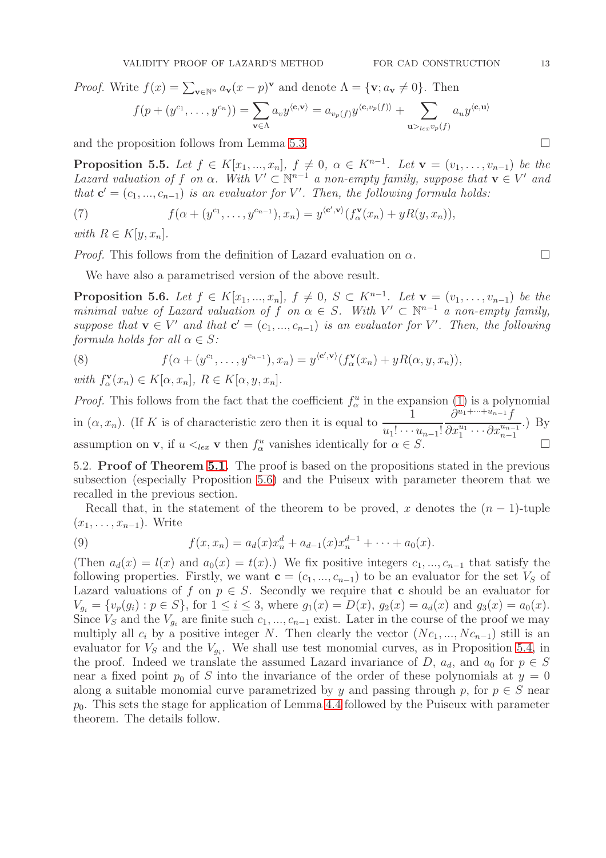$$
f(p+(y^{c_1},\ldots,y^{c_n}))=\sum_{\mathbf{v}\in\Lambda}a_vy^{\langle\mathbf{c},\mathbf{v}\rangle}=a_{v_p(f)}y^{\langle\mathbf{c},v_p(f)\rangle}+\sum_{\mathbf{u}\geq_{lex}v_p(f)}a_uy^{\langle\mathbf{c},\mathbf{u}\rangle}
$$

and the proposition follows from Lemma [5.3.](#page-11-1)  $\Box$ 

**Proposition 5.5.** Let  $f \in K[x_1, ..., x_n]$ ,  $f \neq 0$ ,  $\alpha \in K^{n-1}$ . Let  $\mathbf{v} = (v_1, ..., v_{n-1})$  be the Lazard valuation of f on  $\alpha$ . With  $V' \subset \mathbb{N}^{n-1}$  a non-empty family, suppose that  $\mathbf{v} \in V'$  and that  $\mathbf{c}' = (c_1, ..., c_{n-1})$  is an evaluator for V'. Then, the following formula holds:

(7) 
$$
f(\alpha+(y^{c_1},\ldots,y^{c_{n-1}}),x_n)=y^{\langle \mathbf{c}',\mathbf{v}\rangle}(f^{\mathbf{v}}_{\alpha}(x_n)+yR(y,x_n)),
$$

with  $R \in K[y, x_n]$ .

*Proof.* This follows from the definition of Lazard evaluation on  $\alpha$ .

We have also a parametrised version of the above result.

<span id="page-12-0"></span>**Proposition 5.6.** Let  $f \in K[x_1, ..., x_n]$ ,  $f \neq 0$ ,  $S \subset K^{n-1}$ . Let  $\mathbf{v} = (v_1, ..., v_{n-1})$  be the minimal value of Lazard valuation of f on  $\alpha \in S$ . With  $V' \subset \mathbb{N}^{n-1}$  a non-empty family, suppose that  $\mathbf{v} \in V'$  and that  $\mathbf{c}' = (c_1, ..., c_{n-1})$  is an evaluator for V'. Then, the following formula holds for all  $\alpha \in S$ :

<span id="page-12-1"></span>(8) 
$$
f(\alpha + (y^{c_1}, \ldots, y^{c_{n-1}}), x_n) = y^{(c', \mathbf{v})} (f^{\mathbf{v}}_{\alpha}(x_n) + yR(\alpha, y, x_n)),
$$

with  $f_{\alpha}^{\mathbf{v}}$  $\mathcal{L}_{\alpha}^{\mathbf{v}}(x_n) \in K[\alpha, x_n], R \in K[\alpha, y, x_n].$ 

*Proof.* This follows from the fact that the coefficient  $f^u_\alpha$  in the expansion [\(1\)](#page-3-1) is a polynomial in  $(\alpha, x_n)$ . (If K is of characteristic zero then it is equal to  $\frac{1}{\alpha+1}$  $u_1! \cdots u_{n-1}!$  $\partial^{u_1+\cdots+u_{n-1}}f$  $\partial x_1^{u_1} \cdots \partial x_{n-1}^{u_{n-1}}$ .) By assumption on **v**, if  $u \lt_{lex}$  **v** then  $f^u_\alpha$  vanishes identically for  $\alpha \in S$ .

5.2. Proof of Theorem [5.1.](#page-10-0) The proof is based on the propositions stated in the previous subsection (especially Proposition [5.6\)](#page-12-0) and the Puiseux with parameter theorem that we recalled in the previous section.

Recall that, in the statement of the theorem to be proved, x denotes the  $(n-1)$ -tuple  $(x_1, \ldots, x_{n-1})$ . Write

(9) 
$$
f(x, x_n) = a_d(x)x_n^d + a_{d-1}(x)x_n^{d-1} + \cdots + a_0(x).
$$

(Then  $a_d(x) = l(x)$  and  $a_0(x) = t(x)$ .) We fix positive integers  $c_1, ..., c_{n-1}$  that satisfy the following properties. Firstly, we want  $\mathbf{c} = (c_1, ..., c_{n-1})$  to be an evaluator for the set  $V_S$  of Lazard valuations of f on  $p \in S$ . Secondly we require that c should be an evaluator for  $V_{g_i} = \{v_p(g_i) : p \in S\}$ , for  $1 \leq i \leq 3$ , where  $g_1(x) = D(x)$ ,  $g_2(x) = a_d(x)$  and  $g_3(x) = a_0(x)$ . Since  $V_S$  and the  $V_{g_i}$  are finite such  $c_1, ..., c_{n-1}$  exist. Later in the course of the proof we may multiply all  $c_i$  by a positive integer N. Then clearly the vector  $(Nc_1, ..., Nc_{n-1})$  still is an evaluator for  $V_s$  and the  $V_{g_i}$ . We shall use test monomial curves, as in Proposition [5.4,](#page-11-2) in the proof. Indeed we translate the assumed Lazard invariance of D,  $a_d$ , and  $a_0$  for  $p \in S$ near a fixed point  $p_0$  of S into the invariance of the order of these polynomials at  $y = 0$ along a suitable monomial curve parametrized by y and passing through p, for  $p \in S$  near  $p_0$ . This sets the stage for application of Lemma [4.4](#page-9-1) followed by the Puiseux with parameter theorem. The details follow.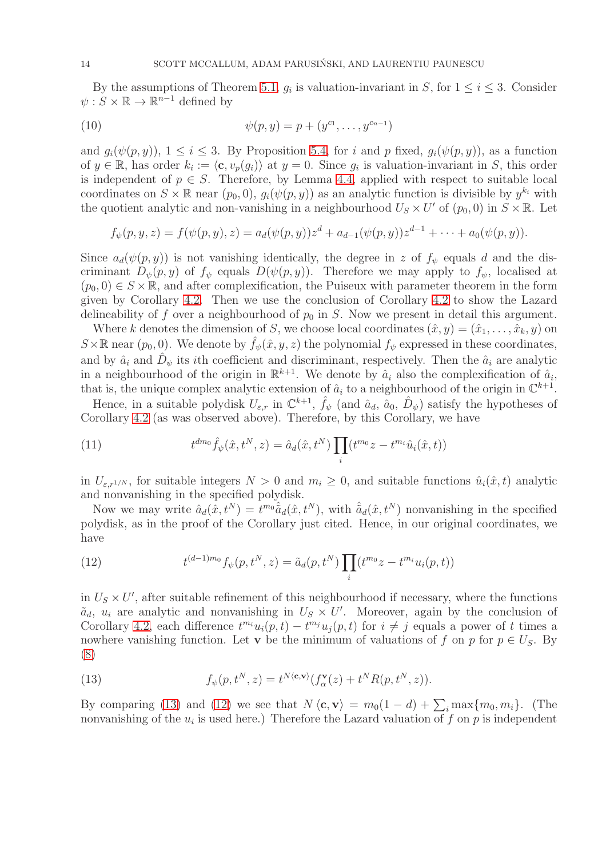By the assumptions of Theorem [5.1,](#page-10-0)  $g_i$  is valuation-invariant in S, for  $1 \leq i \leq 3$ . Consider  $\psi: S \times \mathbb{R} \to \mathbb{R}^{n-1}$  defined by

(10) 
$$
\psi(p, y) = p + (y^{c_1}, \dots, y^{c_{n-1}})
$$

and  $g_i(\psi(p, y))$ ,  $1 \leq i \leq 3$ . By Proposition [5.4,](#page-11-2) for i and p fixed,  $g_i(\psi(p, y))$ , as a function of  $y \in \mathbb{R}$ , has order  $k_i := \langle \mathbf{c}, v_p(g_i) \rangle$  at  $y = 0$ . Since  $g_i$  is valuation-invariant in S, this order is independent of  $p \in S$ . Therefore, by Lemma [4.4,](#page-9-1) applied with respect to suitable local coordinates on  $S \times \mathbb{R}$  near  $(p_0, 0), g_i(\psi(p, y))$  as an analytic function is divisible by  $y^{k_i}$  with the quotient analytic and non-vanishing in a neighbourhood  $U_s \times U'$  of  $(p_0, 0)$  in  $S \times \mathbb{R}$ . Let

$$
f_{\psi}(p, y, z) = f(\psi(p, y), z) = a_d(\psi(p, y))z^d + a_{d-1}(\psi(p, y))z^{d-1} + \cdots + a_0(\psi(p, y)).
$$

Since  $a_d(\psi(p, y))$  is not vanishing identically, the degree in z of  $f_{\psi}$  equals d and the discriminant  $D_{\psi}(p, y)$  of  $f_{\psi}$  equals  $D(\psi(p, y))$ . Therefore we may apply to  $f_{\psi}$ , localised at  $(p_0, 0) \in S \times \mathbb{R}$ , and after complexification, the Puiseux with parameter theorem in the form given by Corollary [4.2.](#page-9-0) Then we use the conclusion of Corollary [4.2](#page-9-0) to show the Lazard delineability of f over a neighbourhood of  $p_0$  in S. Now we present in detail this argument.

Where k denotes the dimension of S, we choose local coordinates  $(\hat{x}, y) = (\hat{x}_1, \dots, \hat{x}_k, y)$  on  $S\times\mathbb{R}$  near  $(p_0, 0)$ . We denote by  $f_\psi(\hat{x}, y, z)$  the polynomial  $f_\psi$  expressed in these coordinates, and by  $\hat{a}_i$  and  $\hat{D}_{\psi}$  its *i*th coefficient and discriminant, respectively. Then the  $\hat{a}_i$  are analytic in a neighbourhood of the origin in  $\mathbb{R}^{k+1}$ . We denote by  $\hat{a}_i$  also the complexification of  $\hat{a}_i$ , that is, the unique complex analytic extension of  $\hat{a}_i$  to a neighbourhood of the origin in  $\mathbb{C}^{k+1}$ .

Hence, in a suitable polydisk  $U_{\varepsilon,r}$  in  $\mathbb{C}^{k+1}$ ,  $\hat{f}_{\psi}$  (and  $\hat{a}_d$ ,  $\hat{a}_0$ ,  $\hat{D}_{\psi}$ ) satisfy the hypotheses of Corollary [4.2](#page-9-0) (as was observed above). Therefore, by this Corollary, we have

(11) 
$$
t^{dm_0} \hat{f}_{\psi}(\hat{x}, t^N, z) = \hat{a}_d(\hat{x}, t^N) \prod_i (t^{m_0} z - t^{m_i} \hat{u}_i(\hat{x}, t))
$$

in  $U_{\varepsilon,r^{1/N}}$ , for suitable integers  $N > 0$  and  $m_i \geq 0$ , and suitable functions  $\hat{u}_i(\hat{x}, t)$  analytic and nonvanishing in the specified polydisk.

Now we may write  $\hat{a}_d(\hat{x}, t^N) = t^{m_0} \hat{a}_d(\hat{x}, t^N)$ , with  $\hat{a}_d(\hat{x}, t^N)$  nonvanishing in the specified polydisk, as in the proof of the Corollary just cited. Hence, in our original coordinates, we have

<span id="page-13-1"></span>(12) 
$$
t^{(d-1)m_0} f_{\psi}(p, t^N, z) = \tilde{a}_d(p, t^N) \prod_i (t^{m_0}z - t^{m_i}u_i(p, t))
$$

in  $U_s \times U'$ , after suitable refinement of this neighbourhood if necessary, where the functions  $\tilde{a}_d$ ,  $u_i$  are analytic and nonvanishing in  $U_s \times U'$ . Moreover, again by the conclusion of Corollary [4.2,](#page-9-0) each difference  $t^{m_i}u_i(p,t) - t^{m_j}u_j(p,t)$  for  $i \neq j$  equals a power of t times a nowhere vanishing function. Let v be the minimum of valuations of f on p for  $p \in U<sub>S</sub>$ . By [\(8\)](#page-12-1)

<span id="page-13-0"></span>(13) 
$$
f_{\psi}(p, t^N, z) = t^{N \langle \mathbf{c}, \mathbf{v} \rangle} (f_{\alpha}^{\mathbf{v}}(z) + t^N R(p, t^N, z)).
$$

By comparing [\(13\)](#page-13-0) and [\(12\)](#page-13-1) we see that  $N \langle \mathbf{c}, \mathbf{v} \rangle = m_0(1 - d) + \sum_i \max\{m_0, m_i\}$ . (The nonvanishing of the  $u_i$  is used here.) Therefore the Lazard valuation of  $f$  on  $p$  is independent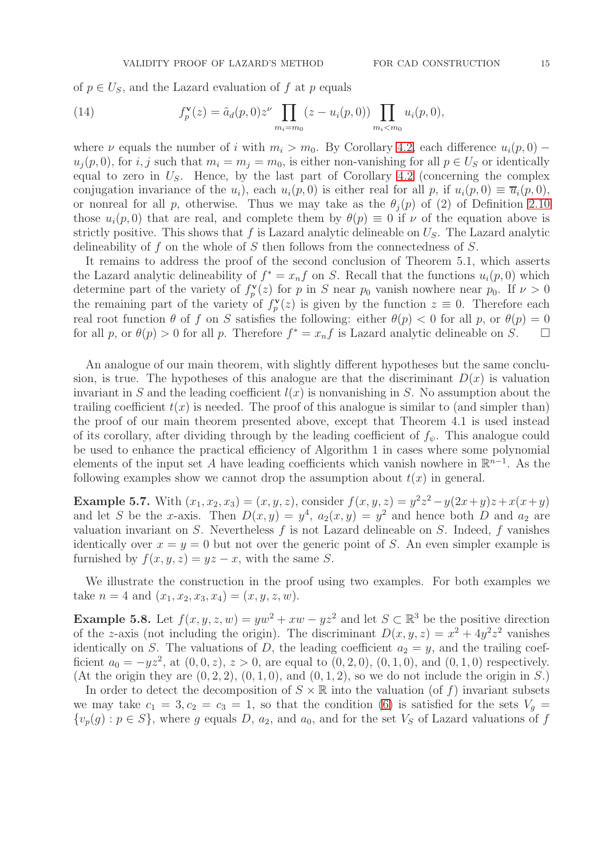of  $p \in U<sub>S</sub>$ , and the Lazard evaluation of f at p equals

(14) 
$$
f_p^{\mathbf{v}}(z) = \tilde{a}_d(p,0)z^{\nu} \prod_{m_i=m_0} (z - u_i(p,0)) \prod_{m_i < m_0} u_i(p,0),
$$

where  $\nu$  equals the number of i with  $m_i > m_0$ . By Corollary [4.2,](#page-9-0) each difference  $u_i(p, 0)$  –  $u_j(p, 0)$ , for i, j such that  $m_i = m_j = m_0$ , is either non-vanishing for all  $p \in U_S$  or identically equal to zero in  $U<sub>S</sub>$ . Hence, by the last part of Corollary [4.2](#page-9-0) (concerning the complex conjugation invariance of the  $u_i$ ), each  $u_i(p, 0)$  is either real for all p, if  $u_i(p, 0) \equiv \overline{u}_i(p, 0)$ , or nonreal for all p, otherwise. Thus we may take as the  $\theta_i(p)$  of (2) of Definition [2.10](#page-3-0) those  $u_i(p, 0)$  that are real, and complete them by  $\theta(p) \equiv 0$  if  $\nu$  of the equation above is strictly positive. This shows that f is Lazard analytic delineable on  $U<sub>S</sub>$ . The Lazard analytic delineability of f on the whole of S then follows from the connectedness of  $S$ .

It remains to address the proof of the second conclusion of Theorem 5.1, which asserts the Lazard analytic delineability of  $f^* = x_n f$  on S. Recall that the functions  $u_i(p, 0)$  which determine part of the variety of  $f^{\mathbf{v}}_p$  $p_{p}^{V}(z)$  for p in S near  $p_{0}$  vanish nowhere near  $p_{0}$ . If  $\nu > 0$ the remaining part of the variety of  $f_p^{\mathbf{v}}$  $p(\mathbf{z})$  is given by the function  $\mathbf{z} \equiv 0$ . Therefore each real root function  $\theta$  of f on S satisfies the following: either  $\theta(p) < 0$  for all p, or  $\theta(p) = 0$ for all p, or  $\theta(p) > 0$  for all p. Therefore  $f^* = x_n f$  is Lazard analytic delineable on S.

An analogue of our main theorem, with slightly different hypotheses but the same conclusion, is true. The hypotheses of this analogue are that the discriminant  $D(x)$  is valuation invariant in S and the leading coefficient  $l(x)$  is nonvanishing in S. No assumption about the trailing coefficient  $t(x)$  is needed. The proof of this analogue is similar to (and simpler than) the proof of our main theorem presented above, except that Theorem 4.1 is used instead of its corollary, after dividing through by the leading coefficient of  $f_{\psi}$ . This analogue could be used to enhance the practical efficiency of Algorithm 1 in cases where some polynomial elements of the input set A have leading coefficients which vanish nowhere in  $\mathbb{R}^{n-1}$ . As the following examples show we cannot drop the assumption about  $t(x)$  in general.

**Example 5.7.** With  $(x_1, x_2, x_3) = (x, y, z)$ , consider  $f(x, y, z) = y^2 z^2 - y(2x + y)z + x(x + y)$ and let S be the x-axis. Then  $D(x, y) = y^4$ ,  $a_2(x, y) = y^2$  and hence both D and  $a_2$  are valuation invariant on  $S$ . Nevertheless  $f$  is not Lazard delineable on  $S$ . Indeed,  $f$  vanishes identically over  $x = y = 0$  but not over the generic point of S. An even simpler example is furnished by  $f(x, y, z) = yz - x$ , with the same S.

We illustrate the construction in the proof using two examples. For both examples we take  $n = 4$  and  $(x_1, x_2, x_3, x_4) = (x, y, z, w)$ .

**Example 5.8.** Let  $f(x, y, z, w) = yw^2 + xw - yz^2$  and let  $S \subset \mathbb{R}^3$  be the positive direction of the z-axis (not including the origin). The discriminant  $D(x, y, z) = x^2 + 4y^2z^2$  vanishes identically on S. The valuations of D, the leading coefficient  $a_2 = y$ , and the trailing coefficient  $a_0 = -yz^2$ , at  $(0, 0, z)$ ,  $z > 0$ , are equal to  $(0, 2, 0)$ ,  $(0, 1, 0)$ , and  $(0, 1, 0)$  respectively. (At the origin they are  $(0, 2, 2)$ ,  $(0, 1, 0)$ , and  $(0, 1, 2)$ , so we do not include the origin in S.)

In order to detect the decomposition of  $S \times \mathbb{R}$  into the valuation (of f) invariant subsets we may take  $c_1 = 3, c_2 = c_3 = 1$ , so that the condition [\(6\)](#page-11-0) is satisfied for the sets  $V_g =$  ${v_p(g) : p \in S}$ , where g equals D,  $a_2$ , and  $a_0$ , and for the set  $V_s$  of Lazard valuations of f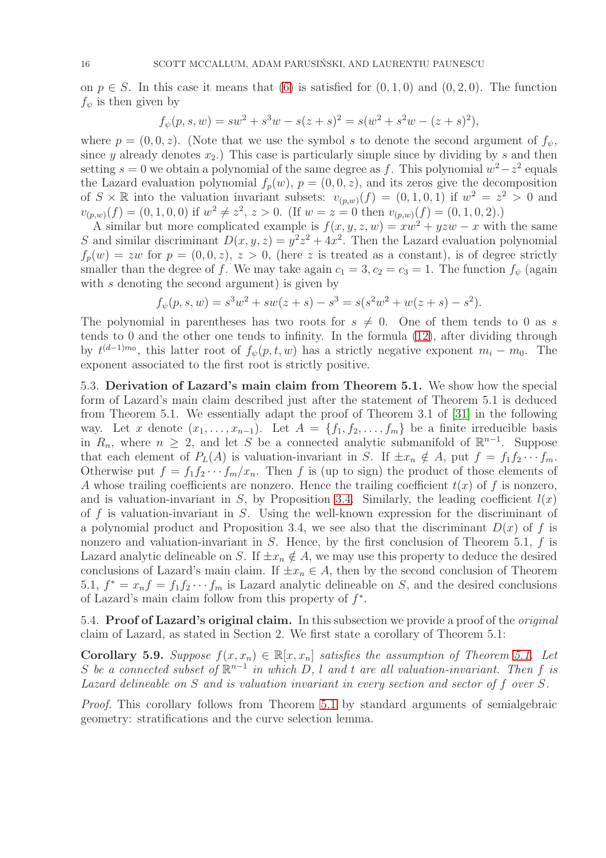on  $p \in S$ . In this case it means that [\(6\)](#page-11-0) is satisfied for  $(0, 1, 0)$  and  $(0, 2, 0)$ . The function  $f_{\psi}$  is then given by

$$
f_{\psi}(p, s, w) = sw^{2} + s^{3}w - s(z + s)^{2} = s(w^{2} + s^{2}w - (z + s)^{2}),
$$

where  $p = (0, 0, z)$ . (Note that we use the symbol s to denote the second argument of  $f_{\psi}$ , since y already denotes  $x_2$ .) This case is particularly simple since by dividing by s and then setting  $s = 0$  we obtain a polynomial of the same degree as f. This polynomial  $w^2 - z^2$  equals the Lazard evaluation polynomial  $f_p(w)$ ,  $p = (0, 0, z)$ , and its zeros give the decomposition of  $S \times \mathbb{R}$  into the valuation invariant subsets:  $v_{(p,w)}(f) = (0,1,0,1)$  if  $w^2 = z^2 > 0$  and  $v_{(p,w)}(f) = (0, 1, 0, 0)$  if  $w^2 \neq z^2$ ,  $z > 0$ . (If  $w = z = 0$  then  $v_{(p,w)}(f) = (0, 1, 0, 2)$ .)

A similar but more complicated example is  $f(x, y, z, w) = xw^2 + yzw - x$  with the same S and similar discriminant  $D(x, y, z) = y^2z^2 + 4x^2$ . Then the Lazard evaluation polynomial  $f_p(w) = zw$  for  $p = (0, 0, z), z > 0$ , (here z is treated as a constant), is of degree strictly smaller than the degree of f. We may take again  $c_1 = 3, c_2 = c_3 = 1$ . The function  $f_{\psi}$  (again with  $s$  denoting the second argument) is given by

$$
f_{\psi}(p, s, w) = s^{3}w^{2} + sw(z + s) - s^{3} = s(s^{2}w^{2} + w(z + s) - s^{2}).
$$

The polynomial in parentheses has two roots for  $s \neq 0$ . One of them tends to 0 as s tends to 0 and the other one tends to infinity. In the formula [\(12\)](#page-13-1), after dividing through by  $t^{(d-1)m_0}$ , this latter root of  $f_{\psi}(p,t,w)$  has a strictly negative exponent  $m_i - m_0$ . The exponent associated to the first root is strictly positive.

5.3. Derivation of Lazard's main claim from Theorem 5.1. We show how the special form of Lazard's main claim described just after the statement of Theorem 5.1 is deduced from Theorem 5.1. We essentially adapt the proof of Theorem 3.1 of [\[31\]](#page-19-3) in the following way. Let x denote  $(x_1, \ldots, x_{n-1})$ . Let  $A = \{f_1, f_2, \ldots, f_m\}$  be a finite irreducible basis in  $R_n$ , where  $n \geq 2$ , and let S be a connected analytic submanifold of  $\mathbb{R}^{n-1}$ . Suppose that each element of  $P_L(A)$  is valuation-invariant in S. If  $\pm x_n \notin A$ , put  $f = f_1 f_2 \cdots f_m$ . Otherwise put  $f = f_1 f_2 \cdots f_m / x_n$ . Then f is (up to sign) the product of those elements of A whose trailing coefficients are nonzero. Hence the trailing coefficient  $t(x)$  of f is nonzero, and is valuation-invariant in S, by Proposition [3.4.](#page-6-0) Similarly, the leading coefficient  $l(x)$ of f is valuation-invariant in S. Using the well-known expression for the discriminant of a polynomial product and Proposition 3.4, we see also that the discriminant  $D(x)$  of f is nonzero and valuation-invariant in  $S$ . Hence, by the first conclusion of Theorem 5.1,  $f$  is Lazard analytic delineable on S. If  $\pm x_n \notin A$ , we may use this property to deduce the desired conclusions of Lazard's main claim. If  $\pm x_n \in A$ , then by the second conclusion of Theorem 5.1,  $f^* = x_n f = f_1 f_2 \cdots f_m$  is Lazard analytic delineable on S, and the desired conclusions of Lazard's main claim follow from this property of  $f^*$ .

5.4. **Proof of Lazard's original claim.** In this subsection we provide a proof of the *original* claim of Lazard, as stated in Section 2. We first state a corollary of Theorem 5.1:

Corollary 5.9. Suppose  $f(x, x_n) \in \mathbb{R}[x, x_n]$  satisfies the assumption of Theorem [5.1.](#page-10-0) Let S be a connected subset of  $\mathbb{R}^{n-1}$  in which D, l and t are all valuation-invariant. Then f is Lazard delineable on S and is valuation invariant in every section and sector of f over S.

Proof. This corollary follows from Theorem [5.1](#page-10-0) by standard arguments of semialgebraic geometry: stratifications and the curve selection lemma.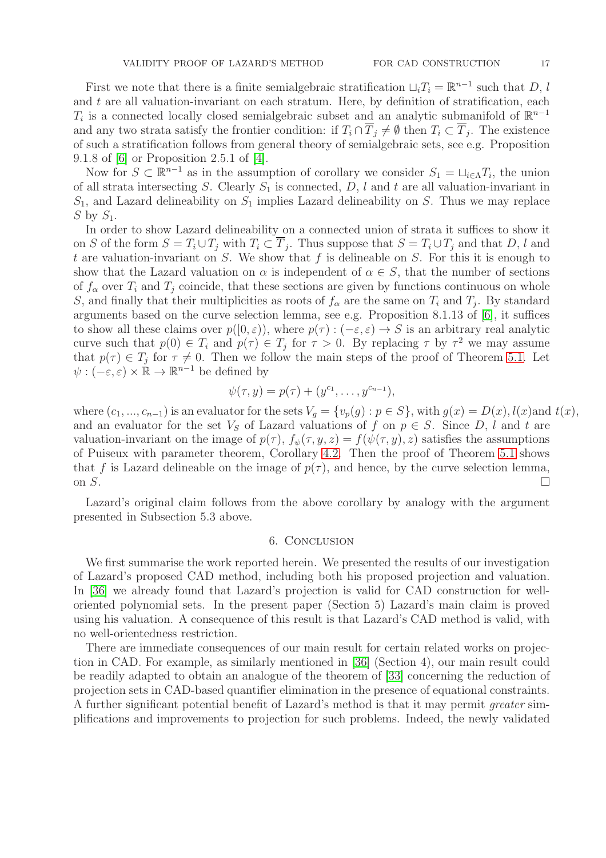First we note that there is a finite semialgebraic stratification  $\sqcup_i T_i = \mathbb{R}^{n-1}$  such that D, l and  $t$  are all valuation-invariant on each stratum. Here, by definition of stratification, each  $T_i$  is a connected locally closed semialgebraic subset and an analytic submanifold of  $\mathbb{R}^{n-1}$ and any two strata satisfy the frontier condition: if  $T_i \cap T_j \neq \emptyset$  then  $T_i \subset T_j$ . The existence of such a stratification follows from general theory of semialgebraic sets, see e.g. Proposition 9.1.8 of [\[6\]](#page-18-7) or Proposition 2.5.1 of [\[4\]](#page-18-8).

Now for  $S \subset \mathbb{R}^{n-1}$  as in the assumption of corollary we consider  $S_1 = \sqcup_{i \in \Lambda} T_i$ , the union of all strata intersecting S. Clearly  $S_1$  is connected, D, l and t are all valuation-invariant in  $S_1$ , and Lazard delineability on  $S_1$  implies Lazard delineability on S. Thus we may replace S by  $S_1$ .

In order to show Lazard delineability on a connected union of strata it suffices to show it on S of the form  $S = T_i \cup T_j$  with  $T_i \subset T_j$ . Thus suppose that  $S = T_i \cup T_j$  and that D, l and t are valuation-invariant on  $S$ . We show that  $f$  is delineable on  $S$ . For this it is enough to show that the Lazard valuation on  $\alpha$  is independent of  $\alpha \in S$ , that the number of sections of  $f_{\alpha}$  over  $T_i$  and  $T_j$  coincide, that these sections are given by functions continuous on whole S, and finally that their multiplicities as roots of  $f_{\alpha}$  are the same on  $T_i$  and  $T_j$ . By standard arguments based on the curve selection lemma, see e.g. Proposition 8.1.13 of [\[6\]](#page-18-7), it suffices to show all these claims over  $p([0, \varepsilon))$ , where  $p(\tau) : (-\varepsilon, \varepsilon) \to S$  is an arbitrary real analytic curve such that  $p(0) \in T_i$  and  $p(\tau) \in T_j$  for  $\tau > 0$ . By replacing  $\tau$  by  $\tau^2$  we may assume that  $p(\tau) \in T_j$  for  $\tau \neq 0$ . Then we follow the main steps of the proof of Theorem [5.1.](#page-10-0) Let  $\psi: (-\varepsilon, \varepsilon) \times \mathbb{R} \to \mathbb{R}^{n-1}$  be defined by

$$
\psi(\tau, y) = p(\tau) + (y^{c_1}, \dots, y^{c_{n-1}}),
$$

where  $(c_1, ..., c_{n-1})$  is an evaluator for the sets  $V_g = \{v_p(g) : p \in S\}$ , with  $g(x) = D(x)$ ,  $l(x)$  and  $t(x)$ , and an evaluator for the set  $V_S$  of Lazard valuations of f on  $p \in S$ . Since D, l and t are valuation-invariant on the image of  $p(\tau)$ ,  $f_{\psi}(\tau, y, z) = f(\psi(\tau, y), z)$  satisfies the assumptions of Puiseux with parameter theorem, Corollary [4.2.](#page-9-0) Then the proof of Theorem [5.1](#page-10-0) shows that f is Lazard delineable on the image of  $p(\tau)$ , and hence, by the curve selection lemma, on  $S$ .

Lazard's original claim follows from the above corollary by analogy with the argument presented in Subsection 5.3 above.

## 6. Conclusion

We first summarise the work reported herein. We presented the results of our investigation of Lazard's proposed CAD method, including both his proposed projection and valuation. In [\[36\]](#page-19-8) we already found that Lazard's projection is valid for CAD construction for welloriented polynomial sets. In the present paper (Section 5) Lazard's main claim is proved using his valuation. A consequence of this result is that Lazard's CAD method is valid, with no well-orientedness restriction.

There are immediate consequences of our main result for certain related works on projection in CAD. For example, as similarly mentioned in [\[36\]](#page-19-8) (Section 4), our main result could be readily adapted to obtain an analogue of the theorem of [\[33\]](#page-19-9) concerning the reduction of projection sets in CAD-based quantifier elimination in the presence of equational constraints. A further significant potential benefit of Lazard's method is that it may permit greater simplifications and improvements to projection for such problems. Indeed, the newly validated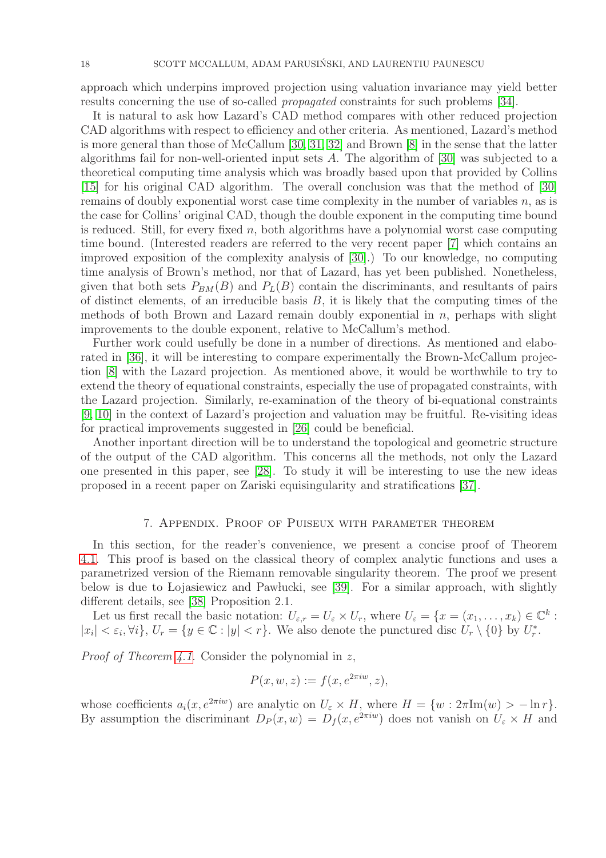approach which underpins improved projection using valuation invariance may yield better results concerning the use of so-called propagated constraints for such problems [\[34\]](#page-19-10).

It is natural to ask how Lazard's CAD method compares with other reduced projection CAD algorithms with respect to efficiency and other criteria. As mentioned, Lazard's method is more general than those of McCallum [\[30,](#page-19-19) [31,](#page-19-3) [32\]](#page-19-4) and Brown [\[8\]](#page-18-1) in the sense that the latter algorithms fail for non-well-oriented input sets A. The algorithm of [\[30\]](#page-19-19) was subjected to a theoretical computing time analysis which was broadly based upon that provided by Collins [\[15\]](#page-19-0) for his original CAD algorithm. The overall conclusion was that the method of [\[30\]](#page-19-19) remains of doubly exponential worst case time complexity in the number of variables  $n$ , as is the case for Collins' original CAD, though the double exponent in the computing time bound is reduced. Still, for every fixed  $n$ , both algorithms have a polynomial worst case computing time bound. (Interested readers are referred to the very recent paper [\[7\]](#page-18-9) which contains an improved exposition of the complexity analysis of [\[30\]](#page-19-19).) To our knowledge, no computing time analysis of Brown's method, nor that of Lazard, has yet been published. Nonetheless, given that both sets  $P_{BM}(B)$  and  $P_L(B)$  contain the discriminants, and resultants of pairs of distinct elements, of an irreducible basis  $B$ , it is likely that the computing times of the methods of both Brown and Lazard remain doubly exponential in  $n$ , perhaps with slight improvements to the double exponent, relative to McCallum's method.

Further work could usefully be done in a number of directions. As mentioned and elaborated in [\[36\]](#page-19-8), it will be interesting to compare experimentally the Brown-McCallum projection [\[8\]](#page-18-1) with the Lazard projection. As mentioned above, it would be worthwhile to try to extend the theory of equational constraints, especially the use of propagated constraints, with the Lazard projection. Similarly, re-examination of the theory of bi-equational constraints [\[9,](#page-18-10) [10\]](#page-18-11) in the context of Lazard's projection and valuation may be fruitful. Re-visiting ideas for practical improvements suggested in [\[26\]](#page-19-6) could be beneficial.

Another inportant direction will be to understand the topological and geometric structure of the output of the CAD algorithm. This concerns all the methods, not only the Lazard one presented in this paper, see [\[28\]](#page-19-20). To study it will be interesting to use the new ideas proposed in a recent paper on Zariski equisingularity and stratifications [\[37\]](#page-19-21).

## 7. Appendix. Proof of Puiseux with parameter theorem

In this section, for the reader's convenience, we present a concise proof of Theorem [4.1.](#page-8-0) This proof is based on the classical theory of complex analytic functions and uses a parametrized version of the Riemann removable singularity theorem. The proof we present below is due to Lojasiewicz and Pawlucki, see [\[39\]](#page-20-3). For a similar approach, with slightly different details, see [\[38\]](#page-19-17) Proposition 2.1.

Let us first recall the basic notation:  $U_{\varepsilon,r} = U_{\varepsilon} \times U_r$ , where  $U_{\varepsilon} = \{x = (x_1, \ldots, x_k) \in \mathbb{C}^k :$  $|x_i| < \varepsilon_i, \forall i$ ,  $U_r = \{y \in \mathbb{C} : |y| < r\}$ . We also denote the punctured disc  $U_r \setminus \{0\}$  by  $U_r^*$ .

*Proof of Theorem [4.1.](#page-8-0)* Consider the polynomial in z,

$$
P(x, w, z) := f(x, e^{2\pi i w}, z),
$$

whose coefficients  $a_i(x, e^{2\pi i w})$  are analytic on  $U_{\varepsilon} \times H$ , where  $H = \{w : 2\pi \text{Im}(w) > -\ln r\}.$ By assumption the discriminant  $D_P(x, w) = D_f(x, e^{2\pi i w})$  does not vanish on  $U_{\varepsilon} \times H$  and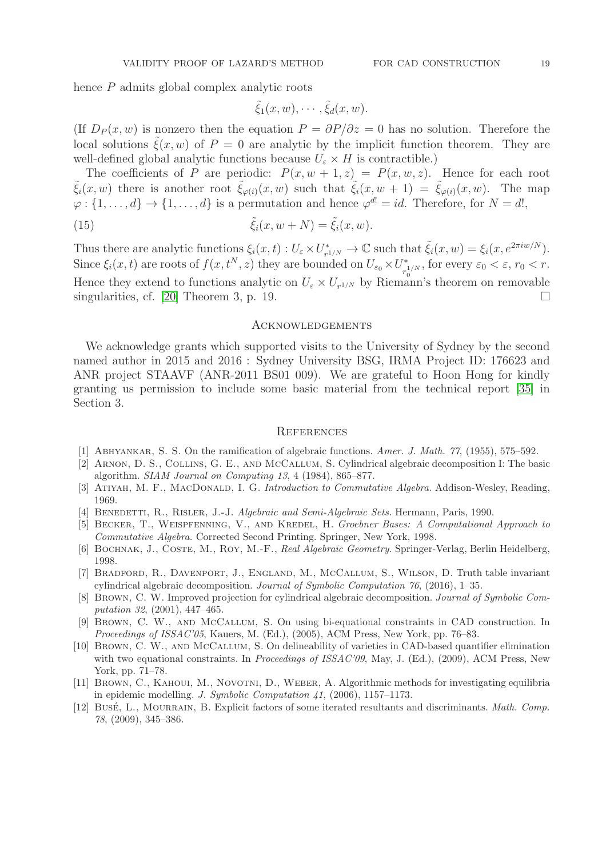hence P admits global complex analytic roots

$$
\tilde{\xi}_1(x,w),\cdots,\tilde{\xi}_d(x,w).
$$

(If  $D_P(x, w)$  is nonzero then the equation  $P = \frac{\partial P}{\partial z} = 0$  has no solution. Therefore the local solutions  $\tilde{\xi}(x, w)$  of  $P = 0$  are analytic by the implicit function theorem. They are well-defined global analytic functions because  $U_{\varepsilon} \times H$  is contractible.)

The coefficients of P are periodic:  $P(x, w + 1, z) = P(x, w, z)$ . Hence for each root  $\tilde{\xi}_i(x, w)$  there is another root  $\tilde{\xi}_{\varphi(i)}(x, w)$  such that  $\tilde{\xi}_i(x, w + 1) = \tilde{\xi}_{\varphi(i)}(x, w)$ . The map  $\varphi: \{1, \ldots, d\} \to \{1, \ldots, d\}$  is a permutation and hence  $\varphi^{d!} = id$ . Therefore, for  $N = d!$ ,

(15) 
$$
\tilde{\xi}_i(x, w + N) = \tilde{\xi}_i(x, w).
$$

Thus there are analytic functions  $\xi_i(x,t): U_{\varepsilon} \times U_{r}^*$  $\tilde{\xi}_i(x, w) = \xi_i(x, e^{2\pi i w/N}).$ Since  $\xi_i(x,t)$  are roots of  $f(x,t^N,z)$  they are bounded on  $U_{\varepsilon_0}\times U_{s}^*$ <sup>\*</sup><sub>0</sub><sup> $\tau_0^{1/N}$ </sup>, for every  $\varepsilon_0 < \varepsilon$ ,  $r_0 < r$ . Hence they extend to functions analytic on  $U_{\varepsilon} \times U_{r^{1/N}}$  by Riemann's theorem on removable singularities, cf. [\[20\]](#page-19-22) Theorem 3, p. 19.

#### Acknowledgements

We acknowledge grants which supported visits to the University of Sydney by the second named author in 2015 and 2016 : Sydney University BSG, IRMA Project ID: 176623 and ANR project STAAVF (ANR-2011 BS01 009). We are grateful to Hoon Hong for kindly granting us permission to include some basic material from the technical report [\[35\]](#page-19-15) in Section 3.

### **REFERENCES**

- <span id="page-18-6"></span><span id="page-18-2"></span>[1] Abhyankar, S. S. On the ramification of algebraic functions. *Amer. J. Math. 77*, (1955), 575–592.
- [2] Arnon, D. S., Collins, G. E., and McCallum, S. Cylindrical algebraic decomposition I: The basic algorithm. *SIAM Journal on Computing 13*, 4 (1984), 865–877.
- <span id="page-18-8"></span><span id="page-18-4"></span>[3] ATIYAH, M. F., MACDONALD, I. G. *Introduction to Commutative Algebra*. Addison-Wesley, Reading, 1969.
- <span id="page-18-5"></span>[4] Benedetti, R., Risler, J.-J. *Algebraic and Semi-Algebraic Sets.* Hermann, Paris, 1990.
- [5] Becker, T., Weispfenning, V., and Kredel, H. *Groebner Bases: A Computational Approach to Commutative Algebra.* Corrected Second Printing. Springer, New York, 1998.
- <span id="page-18-9"></span><span id="page-18-7"></span>[6] Bochnak, J., Coste, M., Roy, M.-F., *Real Algebraic Geometry.* Springer-Verlag, Berlin Heidelberg, 1998.
- [7] Bradford, R., Davenport, J., England, M., McCallum, S., Wilson, D. Truth table invariant cylindrical algebraic decomposition. *Journal of Symbolic Computation 76*, (2016), 1–35.
- <span id="page-18-1"></span>[8] Brown, C. W. Improved projection for cylindrical algebraic decomposition. *Journal of Symbolic Computation 32*, (2001), 447–465.
- <span id="page-18-10"></span>[9] Brown, C. W., and McCallum, S. On using bi-equational constraints in CAD construction. In *Proceedings of ISSAC'05*, Kauers, M. (Ed.), (2005), ACM Press, New York, pp. 76–83.
- <span id="page-18-11"></span>[10] Brown, C. W., and McCallum, S. On delineability of varieties in CAD-based quantifier elimination with two equational constraints. In *Proceedings of ISSAC'09*, May, J. (Ed.), (2009), ACM Press, New York, pp. 71–78.
- <span id="page-18-0"></span>[11] BROWN, C., KAHOUI, M., NOVOTNI, D., WEBER, A. Algorithmic methods for investigating equilibria in epidemic modelling. *J. Symbolic Computation 41*, (2006), 1157–1173.
- <span id="page-18-3"></span>[12] Bus´e, L., Mourrain, B. Explicit factors of some iterated resultants and discriminants. *Math. Comp. 78*, (2009), 345–386.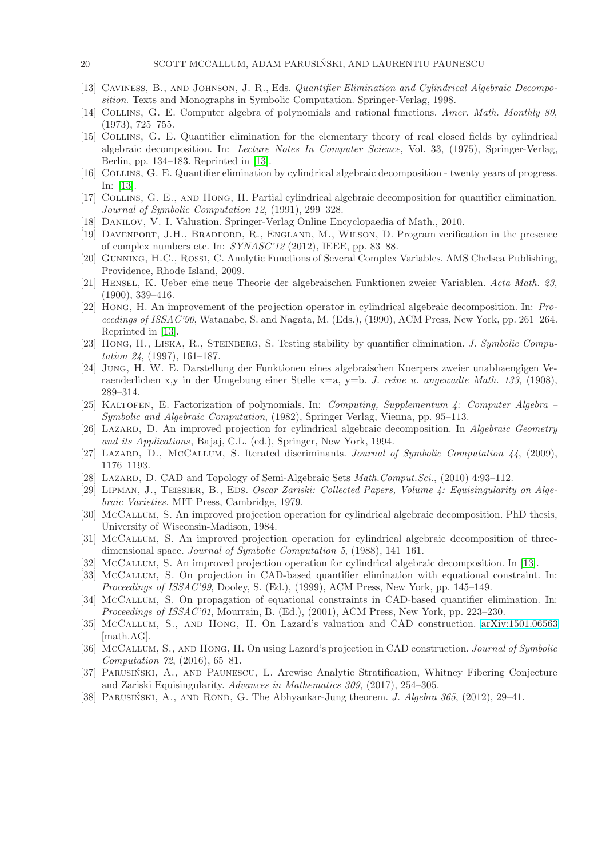- <span id="page-19-23"></span><span id="page-19-13"></span>[13] Caviness, B., and Johnson, J. R., Eds. *Quantifier Elimination and Cylindrical Algebraic Decomposition*. Texts and Monographs in Symbolic Computation. Springer-Verlag, 1998.
- <span id="page-19-0"></span>[14] Collins, G. E. Computer algebra of polynomials and rational functions. *Amer. Math. Monthly 80*, (1973), 725–755.
- [15] Collins, G. E. Quantifier elimination for the elementary theory of real closed fields by cylindrical algebraic decomposition. In: *Lecture Notes In Computer Science*, Vol. 33, (1975), Springer-Verlag, Berlin, pp. 134–183. Reprinted in [\[13\]](#page-19-23).
- <span id="page-19-7"></span>[16] Collins, G. E. Quantifier elimination by cylindrical algebraic decomposition - twenty years of progress. In: [\[13\]](#page-19-23).
- <span id="page-19-16"></span><span id="page-19-11"></span>[17] Collins, G. E., and Hong, H. Partial cylindrical algebraic decomposition for quantifier elimination. *Journal of Symbolic Computation 12*, (1991), 299–328.
- <span id="page-19-2"></span>[18] Danilov, V. I. Valuation. Springer-Verlag Online Encyclopaedia of Math., 2010.
- <span id="page-19-22"></span>[19] Davenport, J.H., Bradford, R., England, M., Wilson, D. Program verification in the presence of complex numbers etc. In: *SYNASC'12* (2012), IEEE, pp. 83–88.
- [20] Gunning, H.C., Rossi, C. Analytic Functions of Several Complex Variables. AMS Chelsea Publishing, Providence, Rhode Island, 2009.
- [21] Hensel, K. Ueber eine neue Theorie der algebraischen Funktionen zweier Variablen. *Acta Math. 23*, (1900), 339–416.
- <span id="page-19-5"></span>[22] Hong, H. An improvement of the projection operator in cylindrical algebraic decomposition. In: *Proceedings of ISSAC'90*, Watanabe, S. and Nagata, M. (Eds.), (1990), ACM Press, New York, pp. 261–264. Reprinted in [\[13\]](#page-19-23).
- <span id="page-19-1"></span>[23] Hong, H., Liska, R., Steinberg, S. Testing stability by quantifier elimination. *J. Symbolic Computation 24*, (1997), 161–187.
- <span id="page-19-18"></span>[24] Jung, H. W. E. Darstellung der Funktionen eines algebraischen Koerpers zweier unabhaengigen Veraenderlichen x,y in der Umgebung einer Stelle x=a, y=b. *J. reine u. angewadte Math. 133*, (1908), 289–314.
- <span id="page-19-12"></span>[25] Kaltofen, E. Factorization of polynomials. In: *Computing, Supplementum 4: Computer Algebra – Symbolic and Algebraic Computation*, (1982), Springer Verlag, Vienna, pp. 95–113.
- <span id="page-19-6"></span>[26] Lazard, D. An improved projection for cylindrical algebraic decomposition. In *Algebraic Geometry and its Applications*, Bajaj, C.L. (ed.), Springer, New York, 1994.
- <span id="page-19-20"></span><span id="page-19-14"></span>[27] Lazard, D., McCallum, S. Iterated discriminants. *Journal of Symbolic Computation 44*, (2009), 1176–1193.
- <span id="page-19-24"></span>[28] Lazard, D. CAD and Topology of Semi-Algebraic Sets *Math.Comput.Sci.*, (2010) 4:93–112.
- [29] LIPMAN, J., TEISSIER, B., EDS. *Oscar Zariski: Collected Papers, Volume 4: Equisingularity on Algebraic Varieties.* MIT Press, Cambridge, 1979.
- <span id="page-19-19"></span>[30] McCallum, S. An improved projection operation for cylindrical algebraic decomposition. PhD thesis, University of Wisconsin-Madison, 1984.
- <span id="page-19-3"></span>[31] McCallum, S. An improved projection operation for cylindrical algebraic decomposition of threedimensional space. *Journal of Symbolic Computation 5*, (1988), 141–161.
- <span id="page-19-9"></span><span id="page-19-4"></span>[32] McCallum, S. An improved projection operation for cylindrical algebraic decomposition. In [\[13\]](#page-19-23).
- [33] McCallum, S. On projection in CAD-based quantifier elimination with equational constraint. In: *Proceedings of ISSAC'99*, Dooley, S. (Ed.), (1999), ACM Press, New York, pp. 145–149.
- <span id="page-19-10"></span>[34] McCallum, S. On propagation of equational constraints in CAD-based quantifier elimination. In: *Proceedings of ISSAC'01*, Mourrain, B. (Ed.), (2001), ACM Press, New York, pp. 223–230.
- <span id="page-19-15"></span>[35] McCallum, S., and Hong, H. On Lazard's valuation and CAD construction. [arXiv:1501.06563](http://arxiv.org/abs/1501.06563) [math.AG].
- <span id="page-19-8"></span>[36] McCallum, S., and Hong, H. On using Lazard's projection in CAD construction. *Journal of Symbolic Computation 72*, (2016), 65–81.
- <span id="page-19-21"></span>[37] PARUSIŃSKI, A., AND PAUNESCU, L. Arcwise Analytic Stratification, Whitney Fibering Conjecture and Zariski Equisingularity. *Advances in Mathematics 309*, (2017), 254–305.
- <span id="page-19-17"></span>[38] PARUSIŃSKI, A., AND ROND, G. The Abhyankar-Jung theorem. *J. Algebra 365*, (2012), 29–41.